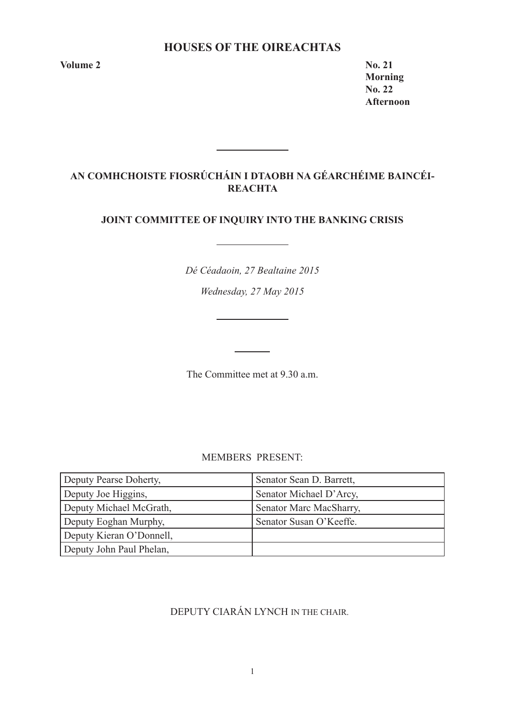# **HOUSES OF THE OIREACHTAS**

**Volume 2 No. 21** 

**Morning No. 22 Afternoon** 

# **AN COMHCHOISTE FIOSRÚCHÁIN I DTAOBH NA GÉARCHÉIME BAINCÉI-REACHTA**

<u> 1990 - Jan Barnett, politik e</u>

# **JOINT COMMITTEE OF INQUIRY INTO THE BANKING CRISIS**

*Dé Céadaoin, 27 Bealtaine 2015*

*Wednesday, 27 May 2015*

<u> 1990 - Johann Barbara, martin a</u>

The Committee met at 9.30 a.m.

MEMBERS PRESENT:

| Deputy Pearse Doherty,   | Senator Sean D. Barrett, |
|--------------------------|--------------------------|
| Deputy Joe Higgins,      | Senator Michael D'Arcy,  |
| Deputy Michael McGrath,  | Senator Marc MacSharry,  |
| Deputy Eoghan Murphy,    | Senator Susan O'Keeffe.  |
| Deputy Kieran O'Donnell, |                          |
| Deputy John Paul Phelan, |                          |

# DEPUTY CIARÁN LYNCH IN THE CHAIR.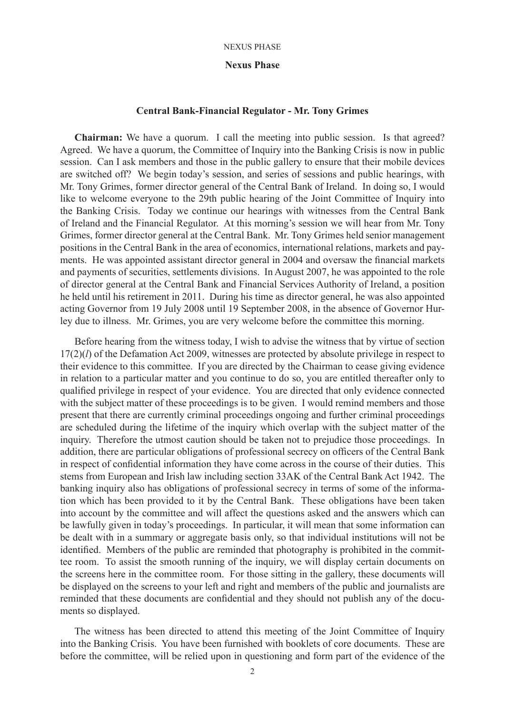### **Nexus Phase**

# **Central Bank-Financial Regulator - Mr. Tony Grimes**

**Chairman:** We have a quorum. I call the meeting into public session. Is that agreed? Agreed. We have a quorum, the Committee of Inquiry into the Banking Crisis is now in public session. Can I ask members and those in the public gallery to ensure that their mobile devices are switched off? We begin today's session, and series of sessions and public hearings, with Mr. Tony Grimes, former director general of the Central Bank of Ireland. In doing so, I would like to welcome everyone to the 29th public hearing of the Joint Committee of Inquiry into the Banking Crisis. Today we continue our hearings with witnesses from the Central Bank of Ireland and the Financial Regulator. At this morning's session we will hear from Mr. Tony Grimes, former director general at the Central Bank. Mr. Tony Grimes held senior management positions in the Central Bank in the area of economics, international relations, markets and payments. He was appointed assistant director general in 2004 and oversaw the financial markets and payments of securities, settlements divisions. In August 2007, he was appointed to the role of director general at the Central Bank and Financial Services Authority of Ireland, a position he held until his retirement in 2011. During his time as director general, he was also appointed acting Governor from 19 July 2008 until 19 September 2008, in the absence of Governor Hurley due to illness. Mr. Grimes, you are very welcome before the committee this morning.

Before hearing from the witness today, I wish to advise the witness that by virtue of section 17(2)(*l*) of the Defamation Act 2009, witnesses are protected by absolute privilege in respect to their evidence to this committee. If you are directed by the Chairman to cease giving evidence in relation to a particular matter and you continue to do so, you are entitled thereafter only to qualified privilege in respect of your evidence. You are directed that only evidence connected with the subject matter of these proceedings is to be given. I would remind members and those present that there are currently criminal proceedings ongoing and further criminal proceedings are scheduled during the lifetime of the inquiry which overlap with the subject matter of the inquiry. Therefore the utmost caution should be taken not to prejudice those proceedings. In addition, there are particular obligations of professional secrecy on officers of the Central Bank in respect of confidential information they have come across in the course of their duties. This stems from European and Irish law including section 33AK of the Central Bank Act 1942. The banking inquiry also has obligations of professional secrecy in terms of some of the information which has been provided to it by the Central Bank. These obligations have been taken into account by the committee and will affect the questions asked and the answers which can be lawfully given in today's proceedings. In particular, it will mean that some information can be dealt with in a summary or aggregate basis only, so that individual institutions will not be identified. Members of the public are reminded that photography is prohibited in the committee room. To assist the smooth running of the inquiry, we will display certain documents on the screens here in the committee room. For those sitting in the gallery, these documents will be displayed on the screens to your left and right and members of the public and journalists are reminded that these documents are confidential and they should not publish any of the documents so displayed.

The witness has been directed to attend this meeting of the Joint Committee of Inquiry into the Banking Crisis. You have been furnished with booklets of core documents. These are before the committee, will be relied upon in questioning and form part of the evidence of the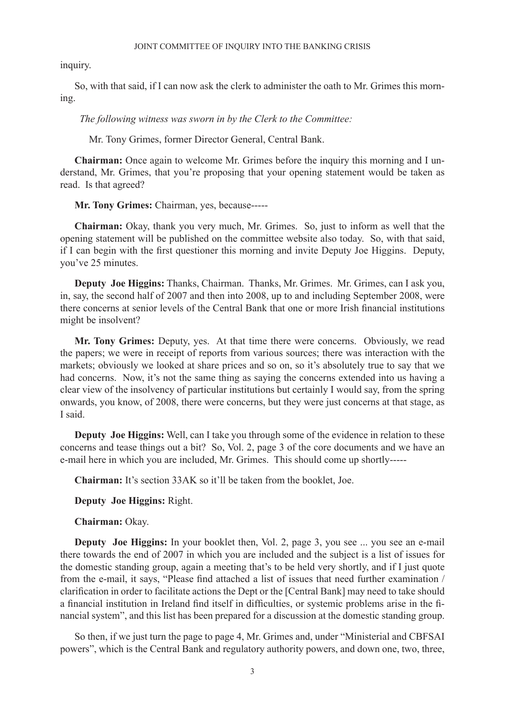inquiry.

So, with that said, if I can now ask the clerk to administer the oath to Mr. Grimes this morning.

 *The following witness was sworn in by the Clerk to the Committee:*

Mr. Tony Grimes, former Director General, Central Bank.

**Chairman:** Once again to welcome Mr. Grimes before the inquiry this morning and I understand, Mr. Grimes, that you're proposing that your opening statement would be taken as read. Is that agreed?

**Mr. Tony Grimes:** Chairman, yes, because-----

**Chairman:** Okay, thank you very much, Mr. Grimes. So, just to inform as well that the opening statement will be published on the committee website also today. So, with that said, if I can begin with the first questioner this morning and invite Deputy Joe Higgins. Deputy, you've 25 minutes.

**Deputy Joe Higgins:** Thanks, Chairman. Thanks, Mr. Grimes. Mr. Grimes, can I ask you, in, say, the second half of 2007 and then into 2008, up to and including September 2008, were there concerns at senior levels of the Central Bank that one or more Irish financial institutions might be insolvent?

**Mr. Tony Grimes:** Deputy, yes. At that time there were concerns. Obviously, we read the papers; we were in receipt of reports from various sources; there was interaction with the markets; obviously we looked at share prices and so on, so it's absolutely true to say that we had concerns. Now, it's not the same thing as saying the concerns extended into us having a clear view of the insolvency of particular institutions but certainly I would say, from the spring onwards, you know, of 2008, there were concerns, but they were just concerns at that stage, as I said.

**Deputy Joe Higgins:** Well, can I take you through some of the evidence in relation to these concerns and tease things out a bit? So, Vol. 2, page 3 of the core documents and we have an e-mail here in which you are included, Mr. Grimes. This should come up shortly-----

**Chairman:** It's section 33AK so it'll be taken from the booklet, Joe.

**Deputy Joe Higgins:** Right.

**Chairman:** Okay.

**Deputy Joe Higgins:** In your booklet then, Vol. 2, page 3, you see ... you see an e-mail there towards the end of 2007 in which you are included and the subject is a list of issues for the domestic standing group, again a meeting that's to be held very shortly, and if I just quote from the e-mail, it says, "Please find attached a list of issues that need further examination / clarification in order to facilitate actions the Dept or the [Central Bank] may need to take should a financial institution in Ireland find itself in difficulties, or systemic problems arise in the financial system", and this list has been prepared for a discussion at the domestic standing group.

So then, if we just turn the page to page 4, Mr. Grimes and, under "Ministerial and CBFSAI powers", which is the Central Bank and regulatory authority powers, and down one, two, three,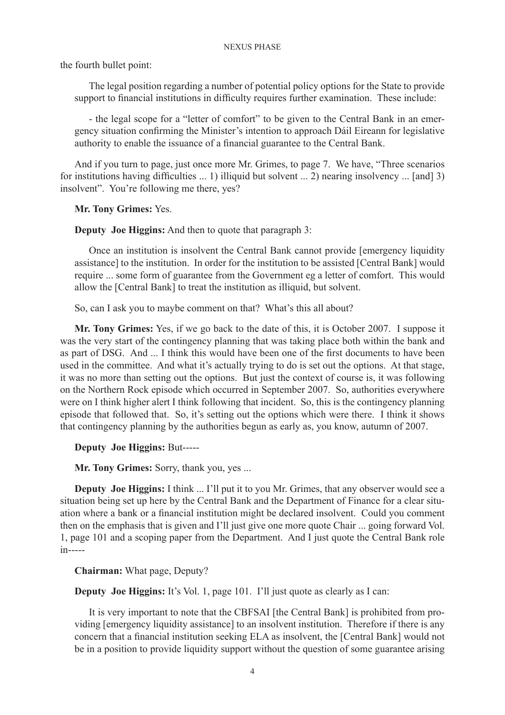the fourth bullet point:

The legal position regarding a number of potential policy options for the State to provide support to financial institutions in difficulty requires further examination. These include:

- the legal scope for a "letter of comfort" to be given to the Central Bank in an emergency situation confirming the Minister's intention to approach Dáil Eireann for legislative authority to enable the issuance of a financial guarantee to the Central Bank.

And if you turn to page, just once more Mr. Grimes, to page 7. We have, "Three scenarios for institutions having difficulties ... 1) illiquid but solvent ... 2) nearing insolvency ... [and] 3) insolvent". You're following me there, yes?

**Mr. Tony Grimes:** Yes.

**Deputy Joe Higgins:** And then to quote that paragraph 3:

Once an institution is insolvent the Central Bank cannot provide [emergency liquidity assistance] to the institution. In order for the institution to be assisted [Central Bank] would require ... some form of guarantee from the Government eg a letter of comfort. This would allow the [Central Bank] to treat the institution as illiquid, but solvent.

So, can I ask you to maybe comment on that? What's this all about?

**Mr. Tony Grimes:** Yes, if we go back to the date of this, it is October 2007. I suppose it was the very start of the contingency planning that was taking place both within the bank and as part of DSG. And ... I think this would have been one of the first documents to have been used in the committee. And what it's actually trying to do is set out the options. At that stage, it was no more than setting out the options. But just the context of course is, it was following on the Northern Rock episode which occurred in September 2007. So, authorities everywhere were on I think higher alert I think following that incident. So, this is the contingency planning episode that followed that. So, it's setting out the options which were there. I think it shows that contingency planning by the authorities begun as early as, you know, autumn of 2007.

**Deputy Joe Higgins:** But-----

**Mr. Tony Grimes:** Sorry, thank you, yes ...

**Deputy Joe Higgins:** I think ... I'll put it to you Mr. Grimes, that any observer would see a situation being set up here by the Central Bank and the Department of Finance for a clear situation where a bank or a financial institution might be declared insolvent. Could you comment then on the emphasis that is given and I'll just give one more quote Chair ... going forward Vol. 1, page 101 and a scoping paper from the Department. And I just quote the Central Bank role in-----

**Chairman:** What page, Deputy?

**Deputy Joe Higgins:** It's Vol. 1, page 101. I'll just quote as clearly as I can:

It is very important to note that the CBFSAI [the Central Bank] is prohibited from providing [emergency liquidity assistance] to an insolvent institution. Therefore if there is any concern that a financial institution seeking ELA as insolvent, the [Central Bank] would not be in a position to provide liquidity support without the question of some guarantee arising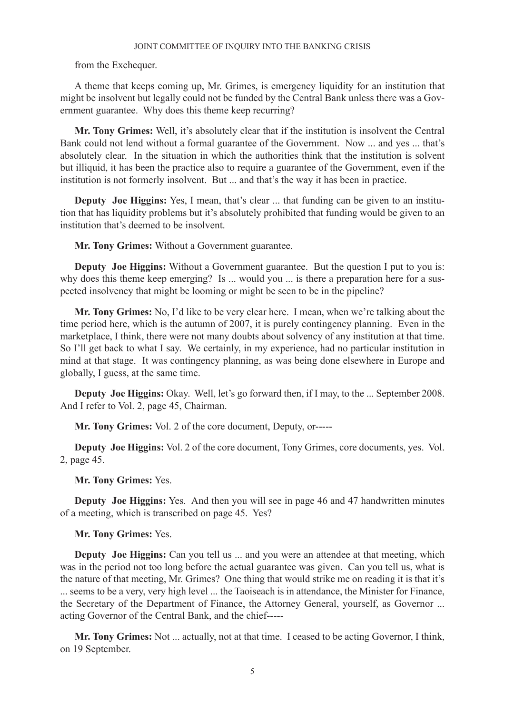from the Exchequer.

A theme that keeps coming up, Mr. Grimes, is emergency liquidity for an institution that might be insolvent but legally could not be funded by the Central Bank unless there was a Government guarantee. Why does this theme keep recurring?

**Mr. Tony Grimes:** Well, it's absolutely clear that if the institution is insolvent the Central Bank could not lend without a formal guarantee of the Government. Now ... and yes ... that's absolutely clear. In the situation in which the authorities think that the institution is solvent but illiquid, it has been the practice also to require a guarantee of the Government, even if the institution is not formerly insolvent. But ... and that's the way it has been in practice.

**Deputy Joe Higgins:** Yes, I mean, that's clear ... that funding can be given to an institution that has liquidity problems but it's absolutely prohibited that funding would be given to an institution that's deemed to be insolvent.

**Mr. Tony Grimes:** Without a Government guarantee.

**Deputy Joe Higgins:** Without a Government guarantee. But the question I put to you is: why does this theme keep emerging? Is ... would you ... is there a preparation here for a suspected insolvency that might be looming or might be seen to be in the pipeline?

**Mr. Tony Grimes:** No, I'd like to be very clear here. I mean, when we're talking about the time period here, which is the autumn of 2007, it is purely contingency planning. Even in the marketplace, I think, there were not many doubts about solvency of any institution at that time. So I'll get back to what I say. We certainly, in my experience, had no particular institution in mind at that stage. It was contingency planning, as was being done elsewhere in Europe and globally, I guess, at the same time.

**Deputy Joe Higgins:** Okay. Well, let's go forward then, if I may, to the ... September 2008. And I refer to Vol. 2, page 45, Chairman.

**Mr. Tony Grimes:** Vol. 2 of the core document, Deputy, or-----

**Deputy Joe Higgins:** Vol. 2 of the core document, Tony Grimes, core documents, yes. Vol. 2, page 45.

**Mr. Tony Grimes:** Yes.

**Deputy Joe Higgins:** Yes. And then you will see in page 46 and 47 handwritten minutes of a meeting, which is transcribed on page 45. Yes?

**Mr. Tony Grimes:** Yes.

**Deputy Joe Higgins:** Can you tell us ... and you were an attendee at that meeting, which was in the period not too long before the actual guarantee was given. Can you tell us, what is the nature of that meeting, Mr. Grimes? One thing that would strike me on reading it is that it's ... seems to be a very, very high level ... the Taoiseach is in attendance, the Minister for Finance, the Secretary of the Department of Finance, the Attorney General, yourself, as Governor ... acting Governor of the Central Bank, and the chief-----

**Mr. Tony Grimes:** Not ... actually, not at that time. I ceased to be acting Governor, I think, on 19 September.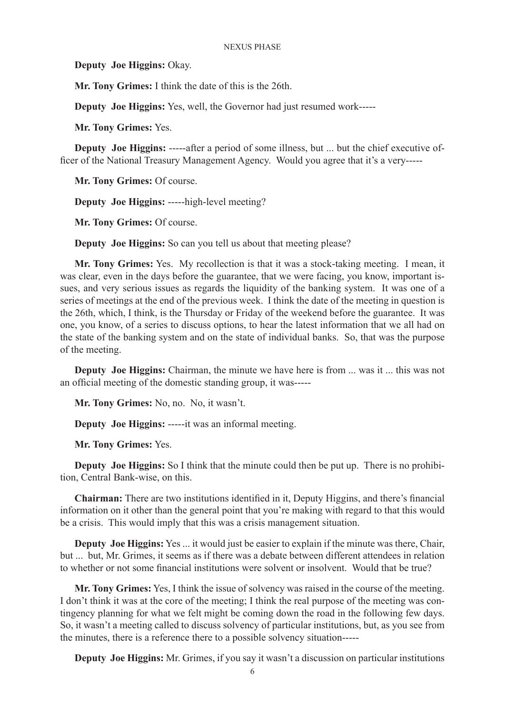**Deputy Joe Higgins:** Okay.

**Mr. Tony Grimes:** I think the date of this is the 26th.

**Deputy Joe Higgins:** Yes, well, the Governor had just resumed work-----

**Mr. Tony Grimes:** Yes.

**Deputy Joe Higgins:** -----after a period of some illness, but ... but the chief executive officer of the National Treasury Management Agency. Would you agree that it's a very-----

**Mr. Tony Grimes:** Of course.

**Deputy Joe Higgins:** -----high-level meeting?

**Mr. Tony Grimes:** Of course.

**Deputy Joe Higgins:** So can you tell us about that meeting please?

**Mr. Tony Grimes:** Yes. My recollection is that it was a stock-taking meeting. I mean, it was clear, even in the days before the guarantee, that we were facing, you know, important issues, and very serious issues as regards the liquidity of the banking system. It was one of a series of meetings at the end of the previous week. I think the date of the meeting in question is the 26th, which, I think, is the Thursday or Friday of the weekend before the guarantee. It was one, you know, of a series to discuss options, to hear the latest information that we all had on the state of the banking system and on the state of individual banks. So, that was the purpose of the meeting.

**Deputy Joe Higgins:** Chairman, the minute we have here is from ... was it ... this was not an official meeting of the domestic standing group, it was-----

**Mr. Tony Grimes:** No, no. No, it wasn't.

**Deputy Joe Higgins:** -----it was an informal meeting.

**Mr. Tony Grimes:** Yes.

**Deputy Joe Higgins:** So I think that the minute could then be put up. There is no prohibition, Central Bank-wise, on this.

**Chairman:** There are two institutions identified in it, Deputy Higgins, and there's financial information on it other than the general point that you're making with regard to that this would be a crisis. This would imply that this was a crisis management situation.

**Deputy Joe Higgins:** Yes ... it would just be easier to explain if the minute was there, Chair, but ... but, Mr. Grimes, it seems as if there was a debate between different attendees in relation to whether or not some financial institutions were solvent or insolvent. Would that be true?

**Mr. Tony Grimes:** Yes, I think the issue of solvency was raised in the course of the meeting. I don't think it was at the core of the meeting; I think the real purpose of the meeting was contingency planning for what we felt might be coming down the road in the following few days. So, it wasn't a meeting called to discuss solvency of particular institutions, but, as you see from the minutes, there is a reference there to a possible solvency situation-----

**Deputy Joe Higgins:** Mr. Grimes, if you say it wasn't a discussion on particular institutions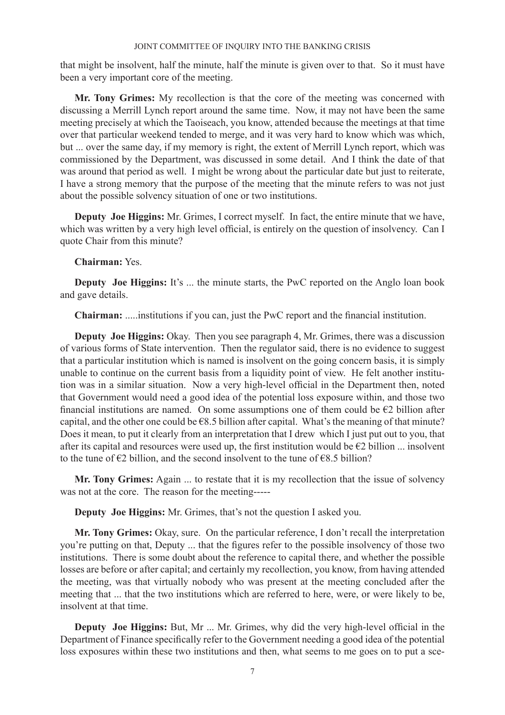that might be insolvent, half the minute, half the minute is given over to that. So it must have been a very important core of the meeting.

**Mr. Tony Grimes:** My recollection is that the core of the meeting was concerned with discussing a Merrill Lynch report around the same time. Now, it may not have been the same meeting precisely at which the Taoiseach, you know, attended because the meetings at that time over that particular weekend tended to merge, and it was very hard to know which was which, but ... over the same day, if my memory is right, the extent of Merrill Lynch report, which was commissioned by the Department, was discussed in some detail. And I think the date of that was around that period as well. I might be wrong about the particular date but just to reiterate, I have a strong memory that the purpose of the meeting that the minute refers to was not just about the possible solvency situation of one or two institutions.

**Deputy Joe Higgins:** Mr. Grimes, I correct myself. In fact, the entire minute that we have, which was written by a very high level official, is entirely on the question of insolvency. Can I quote Chair from this minute?

# **Chairman:** Yes.

**Deputy** Joe Higgins: It's ... the minute starts, the PwC reported on the Anglo loan book and gave details.

**Chairman:** .....institutions if you can, just the PwC report and the financial institution.

**Deputy Joe Higgins:** Okay. Then you see paragraph 4, Mr. Grimes, there was a discussion of various forms of State intervention. Then the regulator said, there is no evidence to suggest that a particular institution which is named is insolvent on the going concern basis, it is simply unable to continue on the current basis from a liquidity point of view. He felt another institution was in a similar situation. Now a very high-level official in the Department then, noted that Government would need a good idea of the potential loss exposure within, and those two financial institutions are named. On some assumptions one of them could be  $E2$  billion after capital, and the other one could be  $68.5$  billion after capital. What's the meaning of that minute? Does it mean, to put it clearly from an interpretation that I drew which I just put out to you, that after its capital and resources were used up, the first institution would be  $\epsilon$ 2 billion ... insolvent to the tune of  $\epsilon$ 2 billion, and the second insolvent to the tune of  $\epsilon$ 8.5 billion?

**Mr. Tony Grimes:** Again ... to restate that it is my recollection that the issue of solvency was not at the core. The reason for the meeting-----

**Deputy Joe Higgins:** Mr. Grimes, that's not the question I asked you.

**Mr. Tony Grimes:** Okay, sure. On the particular reference, I don't recall the interpretation you're putting on that, Deputy ... that the figures refer to the possible insolvency of those two institutions. There is some doubt about the reference to capital there, and whether the possible losses are before or after capital; and certainly my recollection, you know, from having attended the meeting, was that virtually nobody who was present at the meeting concluded after the meeting that ... that the two institutions which are referred to here, were, or were likely to be, insolvent at that time.

**Deputy Joe Higgins:** But, Mr ... Mr. Grimes, why did the very high-level official in the Department of Finance specifically refer to the Government needing a good idea of the potential loss exposures within these two institutions and then, what seems to me goes on to put a sce-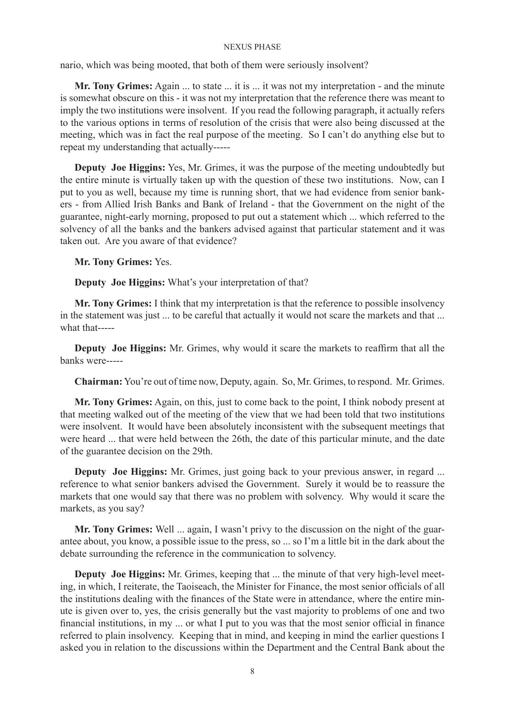nario, which was being mooted, that both of them were seriously insolvent?

**Mr. Tony Grimes:** Again ... to state ... it is ... it was not my interpretation - and the minute is somewhat obscure on this - it was not my interpretation that the reference there was meant to imply the two institutions were insolvent. If you read the following paragraph, it actually refers to the various options in terms of resolution of the crisis that were also being discussed at the meeting, which was in fact the real purpose of the meeting. So I can't do anything else but to repeat my understanding that actually-----

**Deputy Joe Higgins:** Yes, Mr. Grimes, it was the purpose of the meeting undoubtedly but the entire minute is virtually taken up with the question of these two institutions. Now, can I put to you as well, because my time is running short, that we had evidence from senior bankers - from Allied Irish Banks and Bank of Ireland - that the Government on the night of the guarantee, night-early morning, proposed to put out a statement which ... which referred to the solvency of all the banks and the bankers advised against that particular statement and it was taken out. Are you aware of that evidence?

**Mr. Tony Grimes:** Yes.

**Deputy Joe Higgins:** What's your interpretation of that?

**Mr. Tony Grimes:** I think that my interpretation is that the reference to possible insolvency in the statement was just ... to be careful that actually it would not scare the markets and that ... what that-----

**Deputy Joe Higgins:** Mr. Grimes, why would it scare the markets to reaffirm that all the banks were-----

**Chairman:** You're out of time now, Deputy, again. So, Mr. Grimes, to respond. Mr. Grimes.

**Mr. Tony Grimes:** Again, on this, just to come back to the point, I think nobody present at that meeting walked out of the meeting of the view that we had been told that two institutions were insolvent. It would have been absolutely inconsistent with the subsequent meetings that were heard ... that were held between the 26th, the date of this particular minute, and the date of the guarantee decision on the 29th.

**Deputy Joe Higgins:** Mr. Grimes, just going back to your previous answer, in regard ... reference to what senior bankers advised the Government. Surely it would be to reassure the markets that one would say that there was no problem with solvency. Why would it scare the markets, as you say?

**Mr. Tony Grimes:** Well ... again, I wasn't privy to the discussion on the night of the guarantee about, you know, a possible issue to the press, so ... so I'm a little bit in the dark about the debate surrounding the reference in the communication to solvency.

**Deputy Joe Higgins:** Mr. Grimes, keeping that ... the minute of that very high-level meeting, in which, I reiterate, the Taoiseach, the Minister for Finance, the most senior officials of all the institutions dealing with the finances of the State were in attendance, where the entire minute is given over to, yes, the crisis generally but the vast majority to problems of one and two financial institutions, in my ... or what I put to you was that the most senior official in finance referred to plain insolvency. Keeping that in mind, and keeping in mind the earlier questions I asked you in relation to the discussions within the Department and the Central Bank about the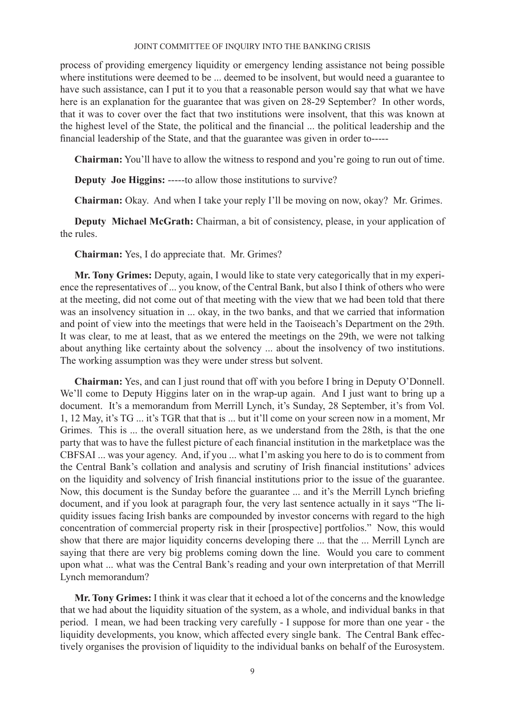process of providing emergency liquidity or emergency lending assistance not being possible where institutions were deemed to be ... deemed to be insolvent, but would need a guarantee to have such assistance, can I put it to you that a reasonable person would say that what we have here is an explanation for the guarantee that was given on 28-29 September? In other words, that it was to cover over the fact that two institutions were insolvent, that this was known at the highest level of the State, the political and the financial ... the political leadership and the financial leadership of the State, and that the guarantee was given in order to-----

**Chairman:** You'll have to allow the witness to respond and you're going to run out of time.

**Deputy Joe Higgins:** -----to allow those institutions to survive?

**Chairman:** Okay. And when I take your reply I'll be moving on now, okay? Mr. Grimes.

**Deputy Michael McGrath:** Chairman, a bit of consistency, please, in your application of the rules.

**Chairman:** Yes, I do appreciate that. Mr. Grimes?

**Mr. Tony Grimes:** Deputy, again, I would like to state very categorically that in my experience the representatives of ... you know, of the Central Bank, but also I think of others who were at the meeting, did not come out of that meeting with the view that we had been told that there was an insolvency situation in ... okay, in the two banks, and that we carried that information and point of view into the meetings that were held in the Taoiseach's Department on the 29th. It was clear, to me at least, that as we entered the meetings on the 29th, we were not talking about anything like certainty about the solvency ... about the insolvency of two institutions. The working assumption was they were under stress but solvent.

**Chairman:** Yes, and can I just round that off with you before I bring in Deputy O'Donnell. We'll come to Deputy Higgins later on in the wrap-up again. And I just want to bring up a document. It's a memorandum from Merrill Lynch, it's Sunday, 28 September, it's from Vol. 1, 12 May, it's TG ... it's TGR that that is ... but it'll come on your screen now in a moment, Mr Grimes. This is ... the overall situation here, as we understand from the 28th, is that the one party that was to have the fullest picture of each financial institution in the marketplace was the CBFSAI ... was your agency. And, if you ... what I'm asking you here to do is to comment from the Central Bank's collation and analysis and scrutiny of Irish financial institutions' advices on the liquidity and solvency of Irish financial institutions prior to the issue of the guarantee. Now, this document is the Sunday before the guarantee ... and it's the Merrill Lynch briefing document, and if you look at paragraph four, the very last sentence actually in it says "The liquidity issues facing Irish banks are compounded by investor concerns with regard to the high concentration of commercial property risk in their [prospective] portfolios." Now, this would show that there are major liquidity concerns developing there ... that the ... Merrill Lynch are saying that there are very big problems coming down the line. Would you care to comment upon what ... what was the Central Bank's reading and your own interpretation of that Merrill Lynch memorandum?

**Mr. Tony Grimes:** I think it was clear that it echoed a lot of the concerns and the knowledge that we had about the liquidity situation of the system, as a whole, and individual banks in that period. I mean, we had been tracking very carefully - I suppose for more than one year - the liquidity developments, you know, which affected every single bank. The Central Bank effectively organises the provision of liquidity to the individual banks on behalf of the Eurosystem.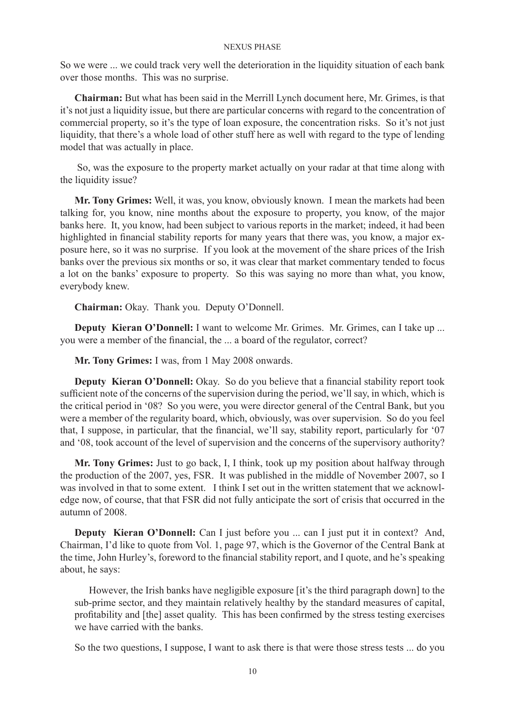So we were ... we could track very well the deterioration in the liquidity situation of each bank over those months. This was no surprise.

**Chairman:** But what has been said in the Merrill Lynch document here, Mr. Grimes, is that it's not just a liquidity issue, but there are particular concerns with regard to the concentration of commercial property, so it's the type of loan exposure, the concentration risks. So it's not just liquidity, that there's a whole load of other stuff here as well with regard to the type of lending model that was actually in place.

 So, was the exposure to the property market actually on your radar at that time along with the liquidity issue?

**Mr. Tony Grimes:** Well, it was, you know, obviously known. I mean the markets had been talking for, you know, nine months about the exposure to property, you know, of the major banks here. It, you know, had been subject to various reports in the market; indeed, it had been highlighted in financial stability reports for many years that there was, you know, a major exposure here, so it was no surprise. If you look at the movement of the share prices of the Irish banks over the previous six months or so, it was clear that market commentary tended to focus a lot on the banks' exposure to property. So this was saying no more than what, you know, everybody knew.

**Chairman:** Okay. Thank you. Deputy O'Donnell.

**Deputy Kieran O'Donnell:** I want to welcome Mr. Grimes. Mr. Grimes, can I take up ... you were a member of the financial, the ... a board of the regulator, correct?

**Mr. Tony Grimes:** I was, from 1 May 2008 onwards.

**Deputy Kieran O'Donnell:** Okay. So do you believe that a financial stability report took sufficient note of the concerns of the supervision during the period, we'll say, in which, which is the critical period in '08? So you were, you were director general of the Central Bank, but you were a member of the regularity board, which, obviously, was over supervision. So do you feel that, I suppose, in particular, that the financial, we'll say, stability report, particularly for '07 and '08, took account of the level of supervision and the concerns of the supervisory authority?

**Mr. Tony Grimes:** Just to go back, I, I think, took up my position about halfway through the production of the 2007, yes, FSR. It was published in the middle of November 2007, so I was involved in that to some extent. I think I set out in the written statement that we acknowledge now, of course, that that FSR did not fully anticipate the sort of crisis that occurred in the autumn of 2008.

**Deputy Kieran O'Donnell:** Can I just before you ... can I just put it in context? And, Chairman, I'd like to quote from Vol. 1, page 97, which is the Governor of the Central Bank at the time, John Hurley's, foreword to the financial stability report, and I quote, and he's speaking about, he says:

However, the Irish banks have negligible exposure [it's the third paragraph down] to the sub-prime sector, and they maintain relatively healthy by the standard measures of capital, profitability and [the] asset quality. This has been confirmed by the stress testing exercises we have carried with the banks.

So the two questions, I suppose, I want to ask there is that were those stress tests ... do you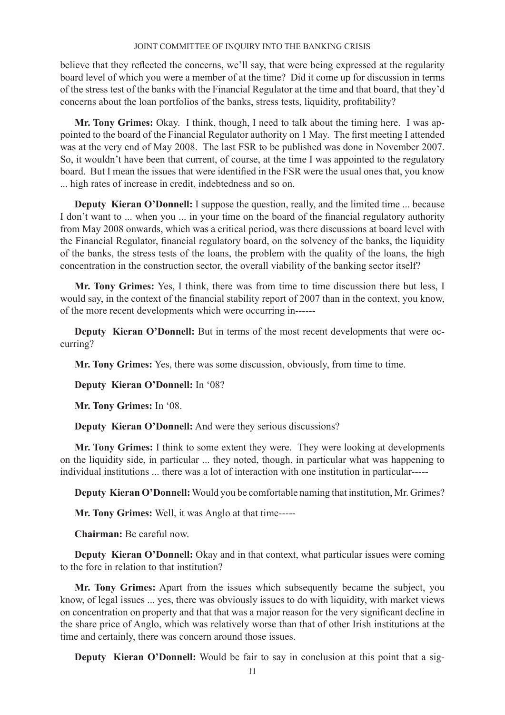believe that they reflected the concerns, we'll say, that were being expressed at the regularity board level of which you were a member of at the time? Did it come up for discussion in terms of the stress test of the banks with the Financial Regulator at the time and that board, that they'd concerns about the loan portfolios of the banks, stress tests, liquidity, profitability?

**Mr. Tony Grimes:** Okay. I think, though, I need to talk about the timing here. I was appointed to the board of the Financial Regulator authority on 1 May. The first meeting I attended was at the very end of May 2008. The last FSR to be published was done in November 2007. So, it wouldn't have been that current, of course, at the time I was appointed to the regulatory board. But I mean the issues that were identified in the FSR were the usual ones that, you know ... high rates of increase in credit, indebtedness and so on.

**Deputy Kieran O'Donnell:** I suppose the question, really, and the limited time ... because I don't want to ... when you ... in your time on the board of the financial regulatory authority from May 2008 onwards, which was a critical period, was there discussions at board level with the Financial Regulator, financial regulatory board, on the solvency of the banks, the liquidity of the banks, the stress tests of the loans, the problem with the quality of the loans, the high concentration in the construction sector, the overall viability of the banking sector itself?

**Mr. Tony Grimes:** Yes, I think, there was from time to time discussion there but less, I would say, in the context of the financial stability report of 2007 than in the context, you know, of the more recent developments which were occurring in------

**Deputy Kieran O'Donnell:** But in terms of the most recent developments that were occurring?

**Mr. Tony Grimes:** Yes, there was some discussion, obviously, from time to time.

**Deputy Kieran O'Donnell:** In '08?

**Mr. Tony Grimes:** In '08.

**Deputy Kieran O'Donnell:** And were they serious discussions?

**Mr. Tony Grimes:** I think to some extent they were. They were looking at developments on the liquidity side, in particular ... they noted, though, in particular what was happening to individual institutions ... there was a lot of interaction with one institution in particular-----

**Deputy Kieran O'Donnell:** Would you be comfortable naming that institution, Mr. Grimes?

**Mr. Tony Grimes:** Well, it was Anglo at that time-----

**Chairman:** Be careful now.

**Deputy Kieran O'Donnell:** Okay and in that context, what particular issues were coming to the fore in relation to that institution?

**Mr. Tony Grimes:** Apart from the issues which subsequently became the subject, you know, of legal issues ... yes, there was obviously issues to do with liquidity, with market views on concentration on property and that that was a major reason for the very significant decline in the share price of Anglo, which was relatively worse than that of other Irish institutions at the time and certainly, there was concern around those issues.

**Deputy Kieran O'Donnell:** Would be fair to say in conclusion at this point that a sig-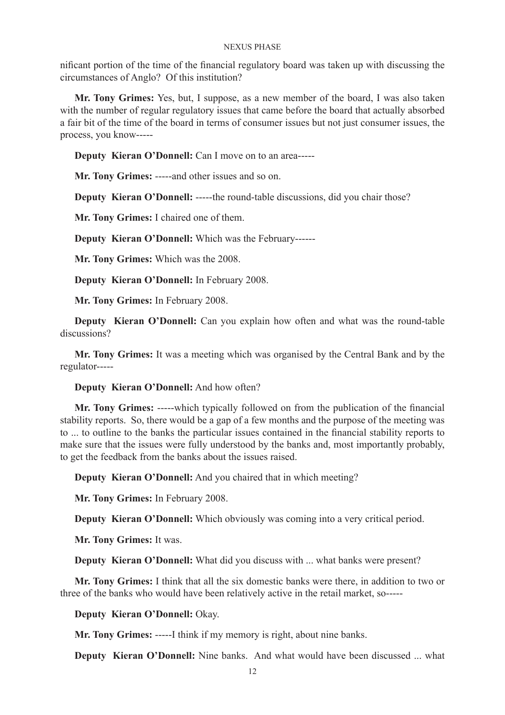nificant portion of the time of the financial regulatory board was taken up with discussing the circumstances of Anglo? Of this institution?

**Mr. Tony Grimes:** Yes, but, I suppose, as a new member of the board, I was also taken with the number of regular regulatory issues that came before the board that actually absorbed a fair bit of the time of the board in terms of consumer issues but not just consumer issues, the process, you know-----

**Deputy Kieran O'Donnell:** Can I move on to an area-----

**Mr. Tony Grimes:** -----and other issues and so on.

**Deputy Kieran O'Donnell:** -----the round-table discussions, did you chair those?

**Mr. Tony Grimes:** I chaired one of them.

**Deputy Kieran O'Donnell:** Which was the February------

**Mr. Tony Grimes:** Which was the 2008.

**Deputy Kieran O'Donnell:** In February 2008.

**Mr. Tony Grimes:** In February 2008.

**Deputy Kieran O'Donnell:** Can you explain how often and what was the round-table discussions?

**Mr. Tony Grimes:** It was a meeting which was organised by the Central Bank and by the regulator-----

**Deputy Kieran O'Donnell:** And how often?

**Mr. Tony Grimes:** -----which typically followed on from the publication of the financial stability reports. So, there would be a gap of a few months and the purpose of the meeting was to ... to outline to the banks the particular issues contained in the financial stability reports to make sure that the issues were fully understood by the banks and, most importantly probably, to get the feedback from the banks about the issues raised.

**Deputy Kieran O'Donnell:** And you chaired that in which meeting?

**Mr. Tony Grimes:** In February 2008.

**Deputy Kieran O'Donnell:** Which obviously was coming into a very critical period.

**Mr. Tony Grimes:** It was.

**Deputy Kieran O'Donnell:** What did you discuss with ... what banks were present?

**Mr. Tony Grimes:** I think that all the six domestic banks were there, in addition to two or three of the banks who would have been relatively active in the retail market, so-----

**Deputy Kieran O'Donnell:** Okay.

**Mr. Tony Grimes:** -----I think if my memory is right, about nine banks.

**Deputy Kieran O'Donnell:** Nine banks. And what would have been discussed ... what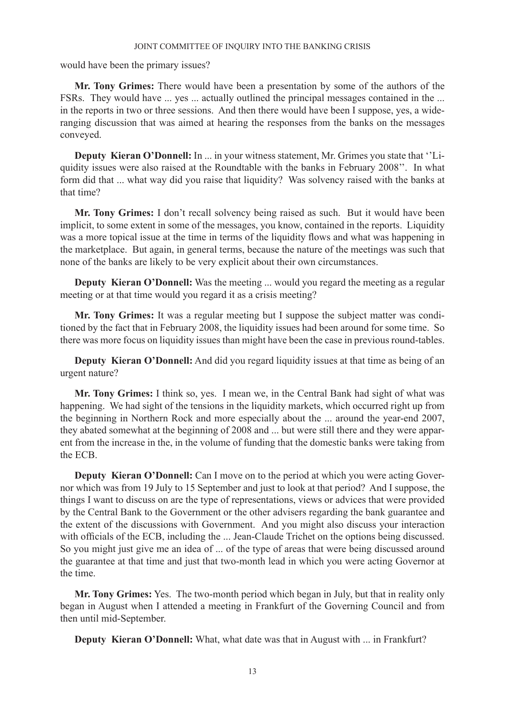would have been the primary issues?

**Mr. Tony Grimes:** There would have been a presentation by some of the authors of the FSRs. They would have ... yes ... actually outlined the principal messages contained in the ... in the reports in two or three sessions. And then there would have been I suppose, yes, a wideranging discussion that was aimed at hearing the responses from the banks on the messages conveyed.

**Deputy Kieran O'Donnell:** In ... in your witness statement, Mr. Grimes you state that ''Liquidity issues were also raised at the Roundtable with the banks in February 2008''. In what form did that ... what way did you raise that liquidity? Was solvency raised with the banks at that time?

**Mr. Tony Grimes:** I don't recall solvency being raised as such. But it would have been implicit, to some extent in some of the messages, you know, contained in the reports. Liquidity was a more topical issue at the time in terms of the liquidity flows and what was happening in the marketplace. But again, in general terms, because the nature of the meetings was such that none of the banks are likely to be very explicit about their own circumstances.

**Deputy Kieran O'Donnell:** Was the meeting ... would you regard the meeting as a regular meeting or at that time would you regard it as a crisis meeting?

**Mr. Tony Grimes:** It was a regular meeting but I suppose the subject matter was conditioned by the fact that in February 2008, the liquidity issues had been around for some time. So there was more focus on liquidity issues than might have been the case in previous round-tables.

**Deputy Kieran O'Donnell:** And did you regard liquidity issues at that time as being of an urgent nature?

**Mr. Tony Grimes:** I think so, yes. I mean we, in the Central Bank had sight of what was happening. We had sight of the tensions in the liquidity markets, which occurred right up from the beginning in Northern Rock and more especially about the ... around the year-end 2007, they abated somewhat at the beginning of 2008 and ... but were still there and they were apparent from the increase in the, in the volume of funding that the domestic banks were taking from the ECB.

**Deputy Kieran O'Donnell:** Can I move on to the period at which you were acting Governor which was from 19 July to 15 September and just to look at that period? And I suppose, the things I want to discuss on are the type of representations, views or advices that were provided by the Central Bank to the Government or the other advisers regarding the bank guarantee and the extent of the discussions with Government. And you might also discuss your interaction with officials of the ECB, including the ... Jean-Claude Trichet on the options being discussed. So you might just give me an idea of ... of the type of areas that were being discussed around the guarantee at that time and just that two-month lead in which you were acting Governor at the time.

**Mr. Tony Grimes:** Yes. The two-month period which began in July, but that in reality only began in August when I attended a meeting in Frankfurt of the Governing Council and from then until mid-September.

**Deputy Kieran O'Donnell:** What, what date was that in August with ... in Frankfurt?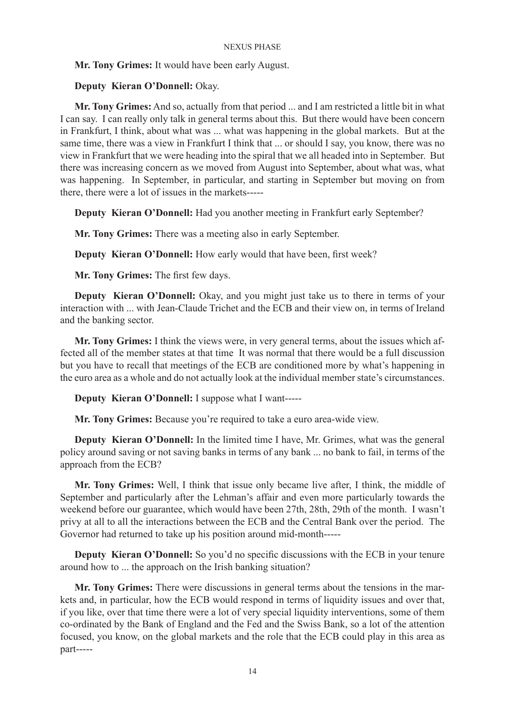**Mr. Tony Grimes:** It would have been early August.

# **Deputy Kieran O'Donnell:** Okay.

**Mr. Tony Grimes:** And so, actually from that period ... and I am restricted a little bit in what I can say. I can really only talk in general terms about this. But there would have been concern in Frankfurt, I think, about what was ... what was happening in the global markets. But at the same time, there was a view in Frankfurt I think that ... or should I say, you know, there was no view in Frankfurt that we were heading into the spiral that we all headed into in September. But there was increasing concern as we moved from August into September, about what was, what was happening. In September, in particular, and starting in September but moving on from there, there were a lot of issues in the markets-----

**Deputy Kieran O'Donnell:** Had you another meeting in Frankfurt early September?

**Mr. Tony Grimes:** There was a meeting also in early September.

**Deputy Kieran O'Donnell:** How early would that have been, first week?

**Mr. Tony Grimes:** The first few days.

**Deputy Kieran O'Donnell:** Okay, and you might just take us to there in terms of your interaction with ... with Jean-Claude Trichet and the ECB and their view on, in terms of Ireland and the banking sector.

**Mr. Tony Grimes:** I think the views were, in very general terms, about the issues which affected all of the member states at that time It was normal that there would be a full discussion but you have to recall that meetings of the ECB are conditioned more by what's happening in the euro area as a whole and do not actually look at the individual member state's circumstances.

**Deputy Kieran O'Donnell:** I suppose what I want-----

**Mr. Tony Grimes:** Because you're required to take a euro area-wide view.

**Deputy Kieran O'Donnell:** In the limited time I have, Mr. Grimes, what was the general policy around saving or not saving banks in terms of any bank ... no bank to fail, in terms of the approach from the ECB?

**Mr. Tony Grimes:** Well, I think that issue only became live after, I think, the middle of September and particularly after the Lehman's affair and even more particularly towards the weekend before our guarantee, which would have been 27th, 28th, 29th of the month. I wasn't privy at all to all the interactions between the ECB and the Central Bank over the period. The Governor had returned to take up his position around mid-month-----

**Deputy Kieran O'Donnell:** So you'd no specific discussions with the ECB in your tenure around how to ... the approach on the Irish banking situation?

**Mr. Tony Grimes:** There were discussions in general terms about the tensions in the markets and, in particular, how the ECB would respond in terms of liquidity issues and over that, if you like, over that time there were a lot of very special liquidity interventions, some of them co-ordinated by the Bank of England and the Fed and the Swiss Bank, so a lot of the attention focused, you know, on the global markets and the role that the ECB could play in this area as part-----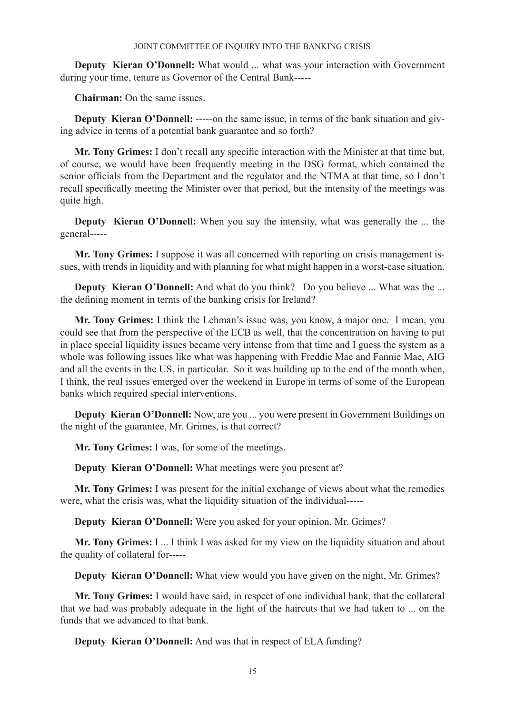**Deputy Kieran O'Donnell:** What would ... what was your interaction with Government during your time, tenure as Governor of the Central Bank-----

**Chairman:** On the same issues.

**Deputy Kieran O'Donnell:** -----on the same issue, in terms of the bank situation and giving advice in terms of a potential bank guarantee and so forth?

**Mr. Tony Grimes:** I don't recall any specific interaction with the Minister at that time but, of course, we would have been frequently meeting in the DSG format, which contained the senior officials from the Department and the regulator and the NTMA at that time, so I don't recall specifically meeting the Minister over that period, but the intensity of the meetings was quite high.

**Deputy Kieran O'Donnell:** When you say the intensity, what was generally the ... the general-----

**Mr. Tony Grimes:** I suppose it was all concerned with reporting on crisis management issues, with trends in liquidity and with planning for what might happen in a worst-case situation.

**Deputy Kieran O'Donnell:** And what do you think? Do you believe ... What was the ... the defining moment in terms of the banking crisis for Ireland?

**Mr. Tony Grimes:** I think the Lehman's issue was, you know, a major one. I mean, you could see that from the perspective of the ECB as well, that the concentration on having to put in place special liquidity issues became very intense from that time and I guess the system as a whole was following issues like what was happening with Freddie Mac and Fannie Mae, AIG and all the events in the US, in particular. So it was building up to the end of the month when, I think, the real issues emerged over the weekend in Europe in terms of some of the European banks which required special interventions.

**Deputy Kieran O'Donnell:** Now, are you ... you were present in Government Buildings on the night of the guarantee, Mr. Grimes, is that correct?

**Mr. Tony Grimes:** I was, for some of the meetings.

**Deputy Kieran O'Donnell:** What meetings were you present at?

**Mr. Tony Grimes:** I was present for the initial exchange of views about what the remedies were, what the crisis was, what the liquidity situation of the individual-----

**Deputy Kieran O'Donnell:** Were you asked for your opinion, Mr. Grimes?

**Mr. Tony Grimes:** I ... I think I was asked for my view on the liquidity situation and about the quality of collateral for-----

**Deputy Kieran O'Donnell:** What view would you have given on the night, Mr. Grimes?

**Mr. Tony Grimes:** I would have said, in respect of one individual bank, that the collateral that we had was probably adequate in the light of the haircuts that we had taken to ... on the funds that we advanced to that bank.

**Deputy Kieran O'Donnell:** And was that in respect of ELA funding?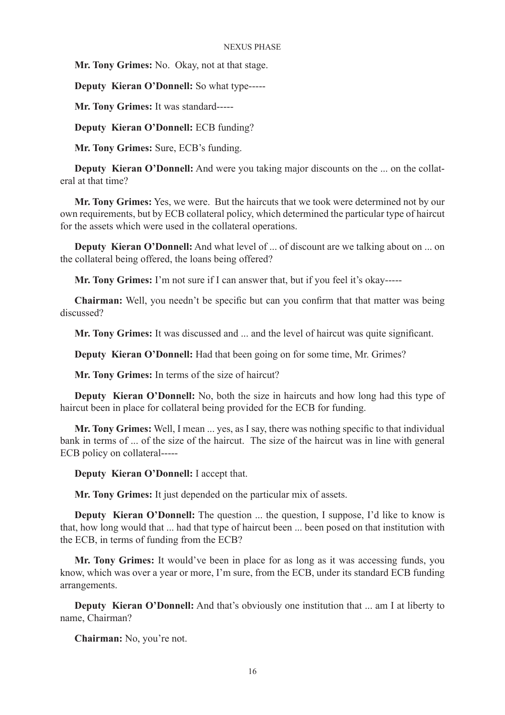**Mr. Tony Grimes:** No. Okay, not at that stage.

**Deputy Kieran O'Donnell:** So what type-----

**Mr. Tony Grimes:** It was standard-----

**Deputy Kieran O'Donnell:** ECB funding?

**Mr. Tony Grimes:** Sure, ECB's funding.

**Deputy Kieran O'Donnell:** And were you taking major discounts on the ... on the collateral at that time?

**Mr. Tony Grimes:** Yes, we were. But the haircuts that we took were determined not by our own requirements, but by ECB collateral policy, which determined the particular type of haircut for the assets which were used in the collateral operations.

**Deputy Kieran O'Donnell:** And what level of ... of discount are we talking about on ... on the collateral being offered, the loans being offered?

**Mr. Tony Grimes:** I'm not sure if I can answer that, but if you feel it's okay-----

**Chairman:** Well, you needn't be specific but can you confirm that that matter was being discussed?

**Mr. Tony Grimes:** It was discussed and ... and the level of haircut was quite significant.

**Deputy Kieran O'Donnell:** Had that been going on for some time, Mr. Grimes?

**Mr. Tony Grimes:** In terms of the size of haircut?

**Deputy Kieran O'Donnell:** No, both the size in haircuts and how long had this type of haircut been in place for collateral being provided for the ECB for funding.

**Mr. Tony Grimes:** Well, I mean ... yes, as I say, there was nothing specific to that individual bank in terms of ... of the size of the haircut. The size of the haircut was in line with general ECB policy on collateral-----

**Deputy Kieran O'Donnell:** I accept that.

**Mr. Tony Grimes:** It just depended on the particular mix of assets.

**Deputy Kieran O'Donnell:** The question ... the question, I suppose, I'd like to know is that, how long would that ... had that type of haircut been ... been posed on that institution with the ECB, in terms of funding from the ECB?

**Mr. Tony Grimes:** It would've been in place for as long as it was accessing funds, you know, which was over a year or more, I'm sure, from the ECB, under its standard ECB funding arrangements.

**Deputy Kieran O'Donnell:** And that's obviously one institution that ... am I at liberty to name, Chairman?

**Chairman:** No, you're not.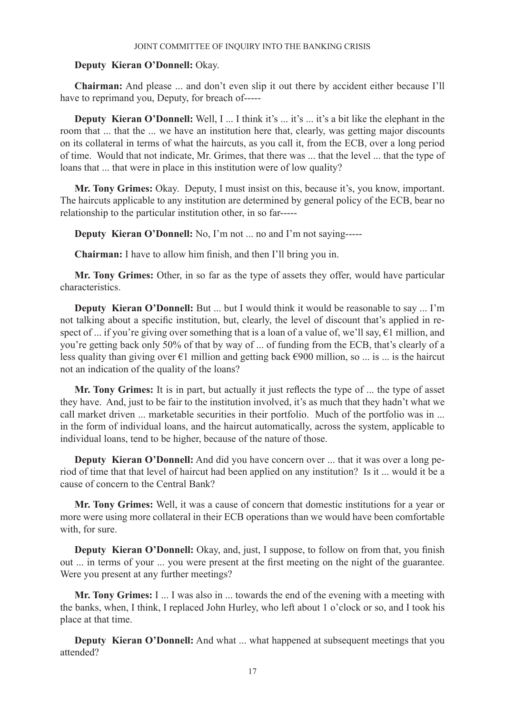# **Deputy Kieran O'Donnell:** Okay.

**Chairman:** And please ... and don't even slip it out there by accident either because I'll have to reprimand you, Deputy, for breach of-----

**Deputy Kieran O'Donnell:** Well, I ... I think it's ... it's ... it's a bit like the elephant in the room that ... that the ... we have an institution here that, clearly, was getting major discounts on its collateral in terms of what the haircuts, as you call it, from the ECB, over a long period of time. Would that not indicate, Mr. Grimes, that there was ... that the level ... that the type of loans that ... that were in place in this institution were of low quality?

**Mr. Tony Grimes:** Okay. Deputy, I must insist on this, because it's, you know, important. The haircuts applicable to any institution are determined by general policy of the ECB, bear no relationship to the particular institution other, in so far-----

**Deputy Kieran O'Donnell:** No, I'm not ... no and I'm not saying-----

**Chairman:** I have to allow him finish, and then I'll bring you in.

**Mr. Tony Grimes:** Other, in so far as the type of assets they offer, would have particular characteristics.

**Deputy Kieran O'Donnell:** But ... but I would think it would be reasonable to say ... I'm not talking about a specific institution, but, clearly, the level of discount that's applied in respect of ... if you're giving over something that is a loan of a value of, we'll say, €1 million, and you're getting back only 50% of that by way of ... of funding from the ECB, that's clearly of a less quality than giving over  $\epsilon$ 1 million and getting back  $\epsilon$ 900 million, so ... is ... is the haircut not an indication of the quality of the loans?

**Mr. Tony Grimes:** It is in part, but actually it just reflects the type of ... the type of asset they have. And, just to be fair to the institution involved, it's as much that they hadn't what we call market driven ... marketable securities in their portfolio. Much of the portfolio was in ... in the form of individual loans, and the haircut automatically, across the system, applicable to individual loans, tend to be higher, because of the nature of those.

**Deputy Kieran O'Donnell:** And did you have concern over ... that it was over a long period of time that that level of haircut had been applied on any institution? Is it ... would it be a cause of concern to the Central Bank?

**Mr. Tony Grimes:** Well, it was a cause of concern that domestic institutions for a year or more were using more collateral in their ECB operations than we would have been comfortable with, for sure.

**Deputy Kieran O'Donnell:** Okay, and, just, I suppose, to follow on from that, you finish out ... in terms of your ... you were present at the first meeting on the night of the guarantee. Were you present at any further meetings?

**Mr. Tony Grimes:** I ... I was also in ... towards the end of the evening with a meeting with the banks, when, I think, I replaced John Hurley, who left about 1 o'clock or so, and I took his place at that time.

**Deputy Kieran O'Donnell:** And what ... what happened at subsequent meetings that you attended?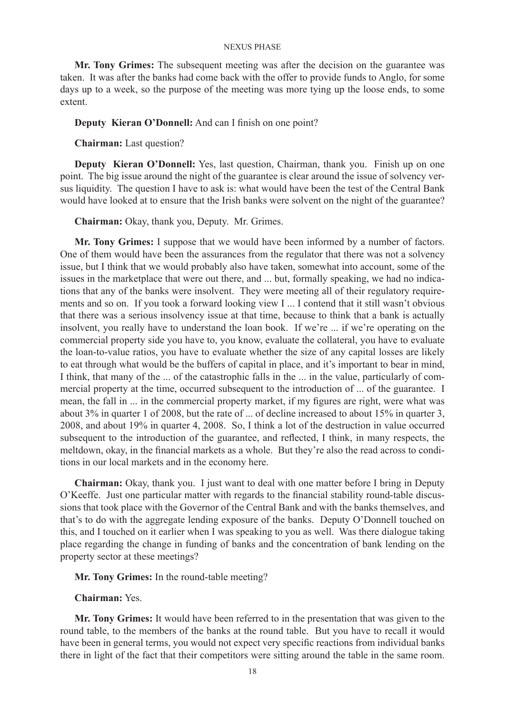**Mr. Tony Grimes:** The subsequent meeting was after the decision on the guarantee was taken. It was after the banks had come back with the offer to provide funds to Anglo, for some days up to a week, so the purpose of the meeting was more tying up the loose ends, to some extent.

### **Deputy Kieran O'Donnell:** And can I finish on one point?

**Chairman:** Last question?

**Deputy Kieran O'Donnell:** Yes, last question, Chairman, thank you. Finish up on one point. The big issue around the night of the guarantee is clear around the issue of solvency versus liquidity. The question I have to ask is: what would have been the test of the Central Bank would have looked at to ensure that the Irish banks were solvent on the night of the guarantee?

**Chairman:** Okay, thank you, Deputy. Mr. Grimes.

**Mr. Tony Grimes:** I suppose that we would have been informed by a number of factors. One of them would have been the assurances from the regulator that there was not a solvency issue, but I think that we would probably also have taken, somewhat into account, some of the issues in the marketplace that were out there, and ... but, formally speaking, we had no indications that any of the banks were insolvent. They were meeting all of their regulatory requirements and so on. If you took a forward looking view I ... I contend that it still wasn't obvious that there was a serious insolvency issue at that time, because to think that a bank is actually insolvent, you really have to understand the loan book. If we're ... if we're operating on the commercial property side you have to, you know, evaluate the collateral, you have to evaluate the loan-to-value ratios, you have to evaluate whether the size of any capital losses are likely to eat through what would be the buffers of capital in place, and it's important to bear in mind, I think, that many of the ... of the catastrophic falls in the ... in the value, particularly of commercial property at the time, occurred subsequent to the introduction of ... of the guarantee. I mean, the fall in ... in the commercial property market, if my figures are right, were what was about 3% in quarter 1 of 2008, but the rate of ... of decline increased to about 15% in quarter 3, 2008, and about 19% in quarter 4, 2008. So, I think a lot of the destruction in value occurred subsequent to the introduction of the guarantee, and reflected, I think, in many respects, the meltdown, okay, in the financial markets as a whole. But they're also the read across to conditions in our local markets and in the economy here.

**Chairman:** Okay, thank you. I just want to deal with one matter before I bring in Deputy O'Keeffe. Just one particular matter with regards to the financial stability round-table discussions that took place with the Governor of the Central Bank and with the banks themselves, and that's to do with the aggregate lending exposure of the banks. Deputy O'Donnell touched on this, and I touched on it earlier when I was speaking to you as well. Was there dialogue taking place regarding the change in funding of banks and the concentration of bank lending on the property sector at these meetings?

**Mr. Tony Grimes:** In the round-table meeting?

**Chairman:** Yes.

**Mr. Tony Grimes:** It would have been referred to in the presentation that was given to the round table, to the members of the banks at the round table. But you have to recall it would have been in general terms, you would not expect very specific reactions from individual banks there in light of the fact that their competitors were sitting around the table in the same room.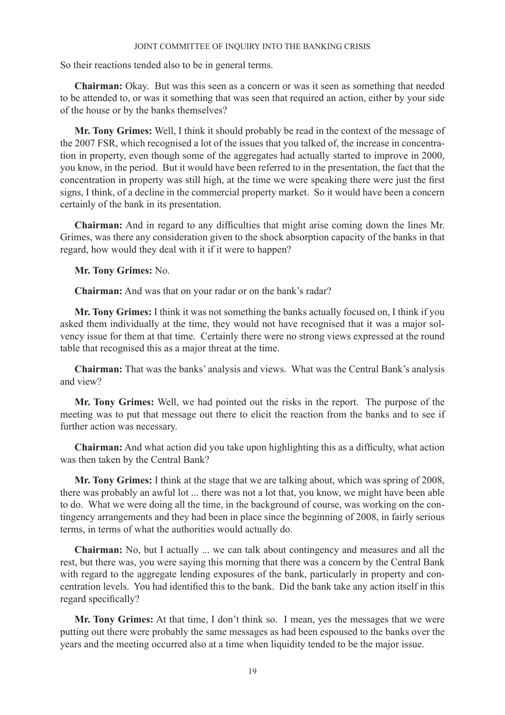So their reactions tended also to be in general terms.

**Chairman:** Okay. But was this seen as a concern or was it seen as something that needed to be attended to, or was it something that was seen that required an action, either by your side of the house or by the banks themselves?

**Mr. Tony Grimes:** Well, I think it should probably be read in the context of the message of the 2007 FSR, which recognised a lot of the issues that you talked of, the increase in concentration in property, even though some of the aggregates had actually started to improve in 2000, you know, in the period. But it would have been referred to in the presentation, the fact that the concentration in property was still high, at the time we were speaking there were just the first signs, I think, of a decline in the commercial property market. So it would have been a concern certainly of the bank in its presentation.

**Chairman:** And in regard to any difficulties that might arise coming down the lines Mr. Grimes, was there any consideration given to the shock absorption capacity of the banks in that regard, how would they deal with it if it were to happen?

**Mr. Tony Grimes:** No.

**Chairman:** And was that on your radar or on the bank's radar?

**Mr. Tony Grimes:** I think it was not something the banks actually focused on, I think if you asked them individually at the time, they would not have recognised that it was a major solvency issue for them at that time. Certainly there were no strong views expressed at the round table that recognised this as a major threat at the time.

**Chairman:** That was the banks' analysis and views. What was the Central Bank's analysis and view?

**Mr. Tony Grimes:** Well, we had pointed out the risks in the report. The purpose of the meeting was to put that message out there to elicit the reaction from the banks and to see if further action was necessary.

**Chairman:** And what action did you take upon highlighting this as a difficulty, what action was then taken by the Central Bank?

**Mr. Tony Grimes:** I think at the stage that we are talking about, which was spring of 2008, there was probably an awful lot ... there was not a lot that, you know, we might have been able to do. What we were doing all the time, in the background of course, was working on the contingency arrangements and they had been in place since the beginning of 2008, in fairly serious terms, in terms of what the authorities would actually do.

**Chairman:** No, but I actually ... we can talk about contingency and measures and all the rest, but there was, you were saying this morning that there was a concern by the Central Bank with regard to the aggregate lending exposures of the bank, particularly in property and concentration levels. You had identified this to the bank. Did the bank take any action itself in this regard specifically?

**Mr. Tony Grimes:** At that time, I don't think so. I mean, yes the messages that we were putting out there were probably the same messages as had been espoused to the banks over the years and the meeting occurred also at a time when liquidity tended to be the major issue.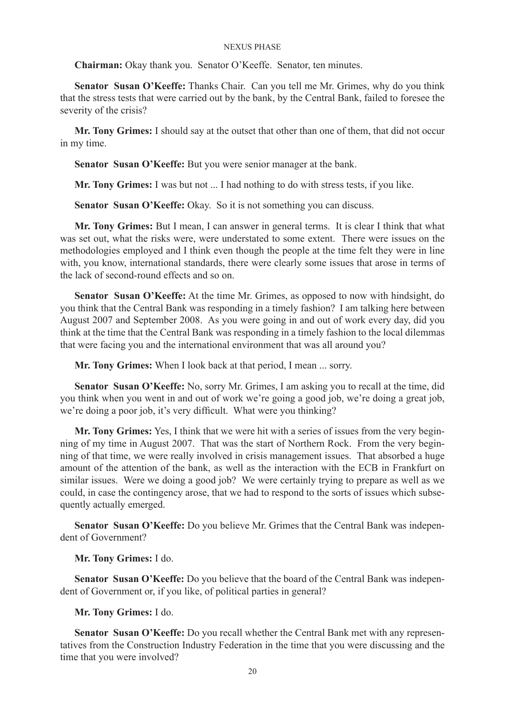**Chairman:** Okay thank you. Senator O'Keeffe. Senator, ten minutes.

**Senator Susan O'Keeffe:** Thanks Chair. Can you tell me Mr. Grimes, why do you think that the stress tests that were carried out by the bank, by the Central Bank, failed to foresee the severity of the crisis?

**Mr. Tony Grimes:** I should say at the outset that other than one of them, that did not occur in my time.

**Senator Susan O'Keeffe:** But you were senior manager at the bank.

**Mr. Tony Grimes:** I was but not ... I had nothing to do with stress tests, if you like.

**Senator Susan O'Keeffe:** Okay. So it is not something you can discuss.

**Mr. Tony Grimes:** But I mean, I can answer in general terms. It is clear I think that what was set out, what the risks were, were understated to some extent. There were issues on the methodologies employed and I think even though the people at the time felt they were in line with, you know, international standards, there were clearly some issues that arose in terms of the lack of second-round effects and so on.

**Senator Susan O'Keeffe:** At the time Mr. Grimes, as opposed to now with hindsight, do you think that the Central Bank was responding in a timely fashion? I am talking here between August 2007 and September 2008. As you were going in and out of work every day, did you think at the time that the Central Bank was responding in a timely fashion to the local dilemmas that were facing you and the international environment that was all around you?

**Mr. Tony Grimes:** When I look back at that period, I mean ... sorry.

**Senator Susan O'Keeffe:** No, sorry Mr. Grimes, I am asking you to recall at the time, did you think when you went in and out of work we're going a good job, we're doing a great job, we're doing a poor job, it's very difficult. What were you thinking?

**Mr. Tony Grimes:** Yes, I think that we were hit with a series of issues from the very beginning of my time in August 2007. That was the start of Northern Rock. From the very beginning of that time, we were really involved in crisis management issues. That absorbed a huge amount of the attention of the bank, as well as the interaction with the ECB in Frankfurt on similar issues. Were we doing a good job? We were certainly trying to prepare as well as we could, in case the contingency arose, that we had to respond to the sorts of issues which subsequently actually emerged.

**Senator Susan O'Keeffe:** Do you believe Mr. Grimes that the Central Bank was independent of Government?

**Mr. Tony Grimes:** I do.

**Senator Susan O'Keeffe:** Do you believe that the board of the Central Bank was independent of Government or, if you like, of political parties in general?

**Mr. Tony Grimes:** I do.

**Senator Susan O'Keeffe:** Do you recall whether the Central Bank met with any representatives from the Construction Industry Federation in the time that you were discussing and the time that you were involved?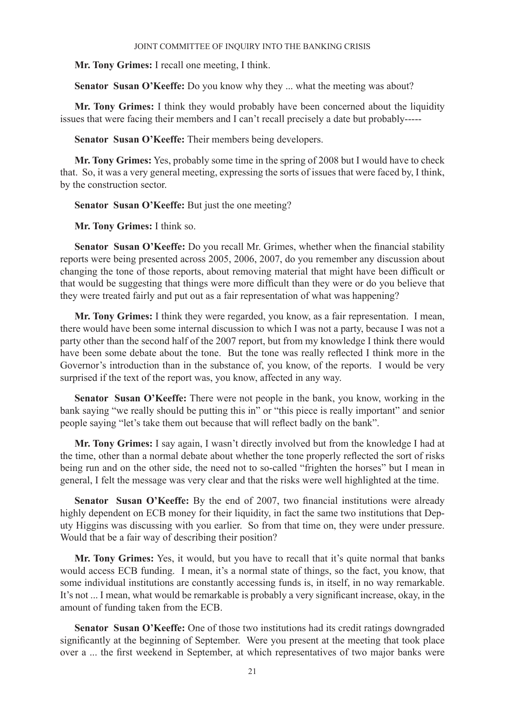**Mr. Tony Grimes:** I recall one meeting, I think.

**Senator Susan O'Keeffe:** Do you know why they ... what the meeting was about?

**Mr. Tony Grimes:** I think they would probably have been concerned about the liquidity issues that were facing their members and I can't recall precisely a date but probably-----

**Senator Susan O'Keeffe:** Their members being developers.

**Mr. Tony Grimes:** Yes, probably some time in the spring of 2008 but I would have to check that. So, it was a very general meeting, expressing the sorts of issues that were faced by, I think, by the construction sector.

**Senator Susan O'Keeffe:** But just the one meeting?

**Mr. Tony Grimes:** I think so.

**Senator Susan O'Keeffe:** Do you recall Mr. Grimes, whether when the financial stability reports were being presented across 2005, 2006, 2007, do you remember any discussion about changing the tone of those reports, about removing material that might have been difficult or that would be suggesting that things were more difficult than they were or do you believe that they were treated fairly and put out as a fair representation of what was happening?

**Mr. Tony Grimes:** I think they were regarded, you know, as a fair representation. I mean, there would have been some internal discussion to which I was not a party, because I was not a party other than the second half of the 2007 report, but from my knowledge I think there would have been some debate about the tone. But the tone was really reflected I think more in the Governor's introduction than in the substance of, you know, of the reports. I would be very surprised if the text of the report was, you know, affected in any way.

**Senator Susan O'Keeffe:** There were not people in the bank, you know, working in the bank saying "we really should be putting this in" or "this piece is really important" and senior people saying "let's take them out because that will reflect badly on the bank".

**Mr. Tony Grimes:** I say again, I wasn't directly involved but from the knowledge I had at the time, other than a normal debate about whether the tone properly reflected the sort of risks being run and on the other side, the need not to so-called "frighten the horses" but I mean in general, I felt the message was very clear and that the risks were well highlighted at the time.

**Senator Susan O'Keeffe:** By the end of 2007, two financial institutions were already highly dependent on ECB money for their liquidity, in fact the same two institutions that Deputy Higgins was discussing with you earlier. So from that time on, they were under pressure. Would that be a fair way of describing their position?

**Mr. Tony Grimes:** Yes, it would, but you have to recall that it's quite normal that banks would access ECB funding. I mean, it's a normal state of things, so the fact, you know, that some individual institutions are constantly accessing funds is, in itself, in no way remarkable. It's not ... I mean, what would be remarkable is probably a very significant increase, okay, in the amount of funding taken from the ECB.

**Senator Susan O'Keeffe:** One of those two institutions had its credit ratings downgraded significantly at the beginning of September. Were you present at the meeting that took place over a ... the first weekend in September, at which representatives of two major banks were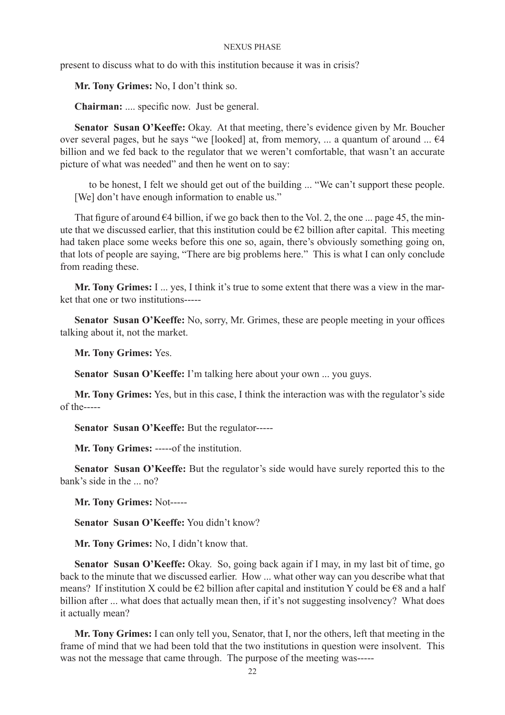present to discuss what to do with this institution because it was in crisis?

**Mr. Tony Grimes:** No, I don't think so.

**Chairman:** .... specific now. Just be general.

**Senator Susan O'Keeffe:** Okay. At that meeting, there's evidence given by Mr. Boucher over several pages, but he says "we [looked] at, from memory, ... a quantum of around ...  $64$ billion and we fed back to the regulator that we weren't comfortable, that wasn't an accurate picture of what was needed" and then he went on to say:

to be honest, I felt we should get out of the building ... "We can't support these people. [We] don't have enough information to enable us."

That figure of around  $\epsilon$ 4 billion, if we go back then to the Vol. 2, the one ... page 45, the minute that we discussed earlier, that this institution could be  $E2$  billion after capital. This meeting had taken place some weeks before this one so, again, there's obviously something going on, that lots of people are saying, "There are big problems here." This is what I can only conclude from reading these.

**Mr. Tony Grimes:** I ... yes, I think it's true to some extent that there was a view in the market that one or two institutions-----

**Senator Susan O'Keeffe:** No, sorry, Mr. Grimes, these are people meeting in your offices talking about it, not the market.

**Mr. Tony Grimes:** Yes.

**Senator Susan O'Keeffe:** I'm talking here about your own ... you guys.

**Mr. Tony Grimes:** Yes, but in this case, I think the interaction was with the regulator's side of the-----

**Senator Susan O'Keeffe:** But the regulator-----

**Mr. Tony Grimes:** -----of the institution.

**Senator Susan O'Keeffe:** But the regulator's side would have surely reported this to the bank's side in the ... no?

**Mr. Tony Grimes:** Not-----

**Senator Susan O'Keeffe:** You didn't know?

**Mr. Tony Grimes:** No, I didn't know that.

**Senator Susan O'Keeffe:** Okay. So, going back again if I may, in my last bit of time, go back to the minute that we discussed earlier. How ... what other way can you describe what that means? If institution X could be  $\epsilon$ 2 billion after capital and institution Y could be  $\epsilon$ 8 and a half billion after ... what does that actually mean then, if it's not suggesting insolvency? What does it actually mean?

**Mr. Tony Grimes:** I can only tell you, Senator, that I, nor the others, left that meeting in the frame of mind that we had been told that the two institutions in question were insolvent. This was not the message that came through. The purpose of the meeting was-----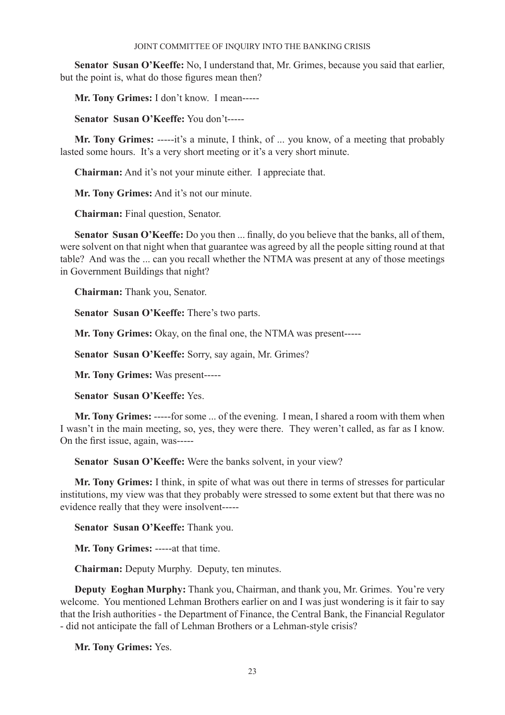**Senator Susan O'Keeffe:** No, I understand that, Mr. Grimes, because you said that earlier, but the point is, what do those figures mean then?

**Mr. Tony Grimes:** I don't know. I mean-----

**Senator Susan O'Keeffe:** You don't-----

**Mr. Tony Grimes:** -----it's a minute, I think, of ... you know, of a meeting that probably lasted some hours. It's a very short meeting or it's a very short minute.

**Chairman:** And it's not your minute either. I appreciate that.

**Mr. Tony Grimes:** And it's not our minute.

**Chairman:** Final question, Senator.

**Senator Susan O'Keeffe:** Do you then ... finally, do you believe that the banks, all of them, were solvent on that night when that guarantee was agreed by all the people sitting round at that table? And was the ... can you recall whether the NTMA was present at any of those meetings in Government Buildings that night?

**Chairman:** Thank you, Senator.

**Senator Susan O'Keeffe:** There's two parts.

**Mr. Tony Grimes:** Okay, on the final one, the NTMA was present-----

**Senator Susan O'Keeffe:** Sorry, say again, Mr. Grimes?

**Mr. Tony Grimes:** Was present-----

**Senator Susan O'Keeffe:** Yes.

**Mr. Tony Grimes:** -----for some ... of the evening. I mean, I shared a room with them when I wasn't in the main meeting, so, yes, they were there. They weren't called, as far as I know. On the first issue, again, was-----

**Senator Susan O'Keeffe:** Were the banks solvent, in your view?

**Mr. Tony Grimes:** I think, in spite of what was out there in terms of stresses for particular institutions, my view was that they probably were stressed to some extent but that there was no evidence really that they were insolvent-----

**Senator Susan O'Keeffe:** Thank you.

**Mr. Tony Grimes:** -----at that time.

**Chairman:** Deputy Murphy. Deputy, ten minutes.

**Deputy Eoghan Murphy:** Thank you, Chairman, and thank you, Mr. Grimes. You're very welcome. You mentioned Lehman Brothers earlier on and I was just wondering is it fair to say that the Irish authorities - the Department of Finance, the Central Bank, the Financial Regulator - did not anticipate the fall of Lehman Brothers or a Lehman-style crisis?

**Mr. Tony Grimes:** Yes.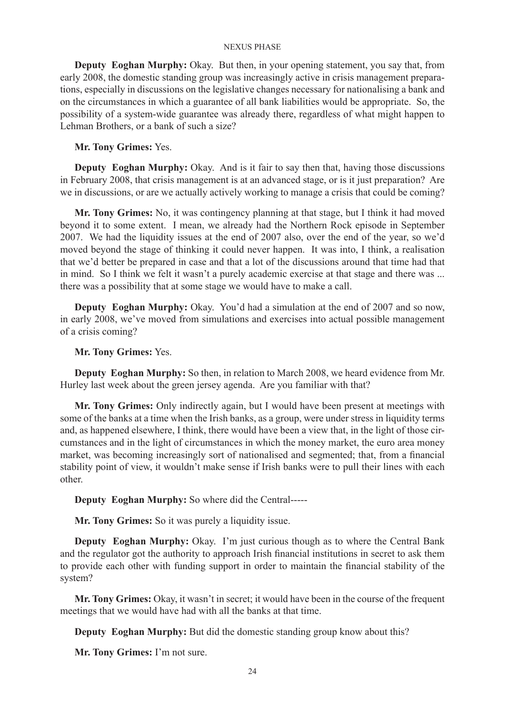**Deputy Eoghan Murphy:** Okay. But then, in your opening statement, you say that, from early 2008, the domestic standing group was increasingly active in crisis management preparations, especially in discussions on the legislative changes necessary for nationalising a bank and on the circumstances in which a guarantee of all bank liabilities would be appropriate. So, the possibility of a system-wide guarantee was already there, regardless of what might happen to Lehman Brothers, or a bank of such a size?

# **Mr. Tony Grimes:** Yes.

**Deputy Eoghan Murphy:** Okay. And is it fair to say then that, having those discussions in February 2008, that crisis management is at an advanced stage, or is it just preparation? Are we in discussions, or are we actually actively working to manage a crisis that could be coming?

**Mr. Tony Grimes:** No, it was contingency planning at that stage, but I think it had moved beyond it to some extent. I mean, we already had the Northern Rock episode in September 2007. We had the liquidity issues at the end of 2007 also, over the end of the year, so we'd moved beyond the stage of thinking it could never happen. It was into, I think, a realisation that we'd better be prepared in case and that a lot of the discussions around that time had that in mind. So I think we felt it wasn't a purely academic exercise at that stage and there was ... there was a possibility that at some stage we would have to make a call.

**Deputy Eoghan Murphy:** Okay. You'd had a simulation at the end of 2007 and so now, in early 2008, we've moved from simulations and exercises into actual possible management of a crisis coming?

# **Mr. Tony Grimes:** Yes.

**Deputy Eoghan Murphy:** So then, in relation to March 2008, we heard evidence from Mr. Hurley last week about the green jersey agenda. Are you familiar with that?

**Mr. Tony Grimes:** Only indirectly again, but I would have been present at meetings with some of the banks at a time when the Irish banks, as a group, were under stress in liquidity terms and, as happened elsewhere, I think, there would have been a view that, in the light of those circumstances and in the light of circumstances in which the money market, the euro area money market, was becoming increasingly sort of nationalised and segmented; that, from a financial stability point of view, it wouldn't make sense if Irish banks were to pull their lines with each other.

**Deputy Eoghan Murphy:** So where did the Central-----

**Mr. Tony Grimes:** So it was purely a liquidity issue.

**Deputy Eoghan Murphy:** Okay. I'm just curious though as to where the Central Bank and the regulator got the authority to approach Irish financial institutions in secret to ask them to provide each other with funding support in order to maintain the financial stability of the system?

**Mr. Tony Grimes:** Okay, it wasn't in secret; it would have been in the course of the frequent meetings that we would have had with all the banks at that time.

**Deputy Eoghan Murphy:** But did the domestic standing group know about this?

**Mr. Tony Grimes:** I'm not sure.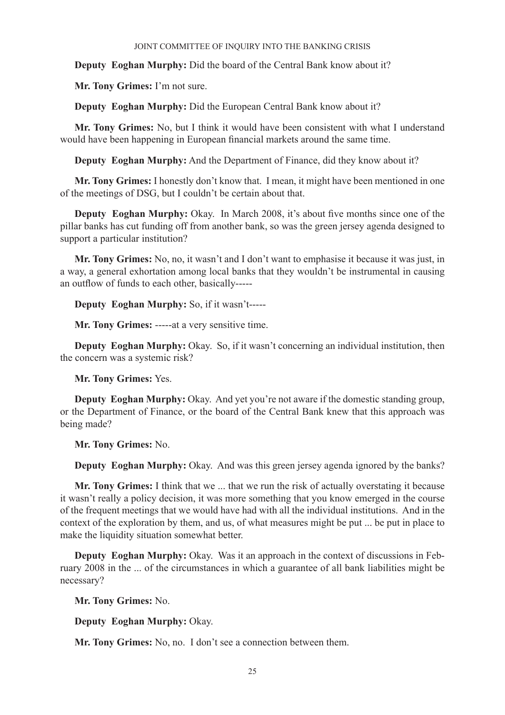**Deputy Eoghan Murphy:** Did the board of the Central Bank know about it?

**Mr. Tony Grimes:** I'm not sure.

**Deputy Eoghan Murphy:** Did the European Central Bank know about it?

**Mr. Tony Grimes:** No, but I think it would have been consistent with what I understand would have been happening in European financial markets around the same time.

**Deputy Eoghan Murphy:** And the Department of Finance, did they know about it?

**Mr. Tony Grimes:** I honestly don't know that. I mean, it might have been mentioned in one of the meetings of DSG, but I couldn't be certain about that.

**Deputy Eoghan Murphy:** Okay. In March 2008, it's about five months since one of the pillar banks has cut funding off from another bank, so was the green jersey agenda designed to support a particular institution?

**Mr. Tony Grimes:** No, no, it wasn't and I don't want to emphasise it because it was just, in a way, a general exhortation among local banks that they wouldn't be instrumental in causing an outflow of funds to each other, basically-----

**Deputy Eoghan Murphy:** So, if it wasn't-----

**Mr. Tony Grimes:** -----at a very sensitive time.

**Deputy Eoghan Murphy:** Okay. So, if it wasn't concerning an individual institution, then the concern was a systemic risk?

**Mr. Tony Grimes:** Yes.

**Deputy Eoghan Murphy:** Okay. And yet you're not aware if the domestic standing group, or the Department of Finance, or the board of the Central Bank knew that this approach was being made?

**Mr. Tony Grimes:** No.

**Deputy Eoghan Murphy:** Okay. And was this green jersey agenda ignored by the banks?

**Mr. Tony Grimes:** I think that we ... that we run the risk of actually overstating it because it wasn't really a policy decision, it was more something that you know emerged in the course of the frequent meetings that we would have had with all the individual institutions. And in the context of the exploration by them, and us, of what measures might be put ... be put in place to make the liquidity situation somewhat better.

**Deputy Eoghan Murphy:** Okay. Was it an approach in the context of discussions in February 2008 in the ... of the circumstances in which a guarantee of all bank liabilities might be necessary?

**Mr. Tony Grimes:** No.

**Deputy Eoghan Murphy:** Okay.

**Mr. Tony Grimes:** No, no. I don't see a connection between them.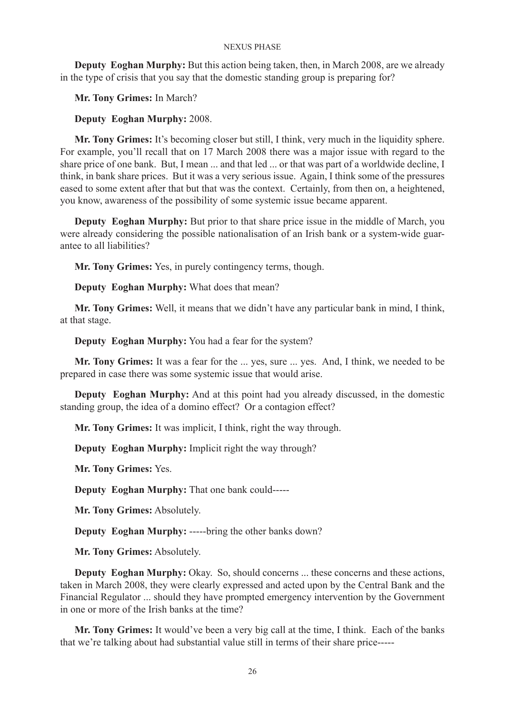**Deputy Eoghan Murphy:** But this action being taken, then, in March 2008, are we already in the type of crisis that you say that the domestic standing group is preparing for?

**Mr. Tony Grimes:** In March?

# **Deputy Eoghan Murphy:** 2008.

**Mr. Tony Grimes:** It's becoming closer but still, I think, very much in the liquidity sphere. For example, you'll recall that on 17 March 2008 there was a major issue with regard to the share price of one bank. But, I mean ... and that led ... or that was part of a worldwide decline, I think, in bank share prices. But it was a very serious issue. Again, I think some of the pressures eased to some extent after that but that was the context. Certainly, from then on, a heightened, you know, awareness of the possibility of some systemic issue became apparent.

**Deputy Eoghan Murphy:** But prior to that share price issue in the middle of March, you were already considering the possible nationalisation of an Irish bank or a system-wide guarantee to all liabilities?

**Mr. Tony Grimes:** Yes, in purely contingency terms, though.

**Deputy Eoghan Murphy:** What does that mean?

**Mr. Tony Grimes:** Well, it means that we didn't have any particular bank in mind, I think, at that stage.

**Deputy Eoghan Murphy:** You had a fear for the system?

**Mr. Tony Grimes:** It was a fear for the ... yes, sure ... yes. And, I think, we needed to be prepared in case there was some systemic issue that would arise.

**Deputy Eoghan Murphy:** And at this point had you already discussed, in the domestic standing group, the idea of a domino effect? Or a contagion effect?

**Mr. Tony Grimes:** It was implicit, I think, right the way through.

**Deputy Eoghan Murphy:** Implicit right the way through?

**Mr. Tony Grimes:** Yes.

**Deputy Eoghan Murphy:** That one bank could-----

**Mr. Tony Grimes:** Absolutely.

**Deputy Eoghan Murphy:** -----bring the other banks down?

**Mr. Tony Grimes:** Absolutely.

**Deputy Eoghan Murphy:** Okay. So, should concerns ... these concerns and these actions, taken in March 2008, they were clearly expressed and acted upon by the Central Bank and the Financial Regulator ... should they have prompted emergency intervention by the Government in one or more of the Irish banks at the time?

**Mr. Tony Grimes:** It would've been a very big call at the time, I think. Each of the banks that we're talking about had substantial value still in terms of their share price-----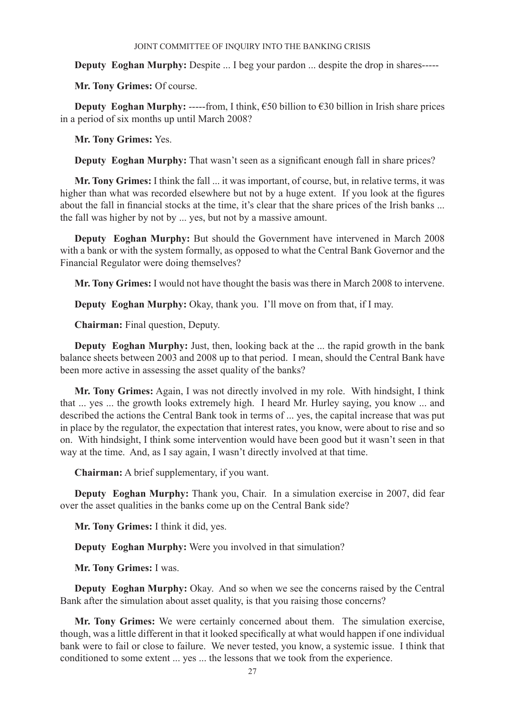**Deputy Eoghan Murphy:** Despite ... I beg your pardon ... despite the drop in shares-----

**Mr. Tony Grimes:** Of course.

**Deputy Eoghan Murphy:** -----from, I think,  $650$  billion to  $630$  billion in Irish share prices in a period of six months up until March 2008?

**Mr. Tony Grimes:** Yes.

**Deputy Eoghan Murphy:** That wasn't seen as a significant enough fall in share prices?

**Mr. Tony Grimes:** I think the fall ... it was important, of course, but, in relative terms, it was higher than what was recorded elsewhere but not by a huge extent. If you look at the figures about the fall in financial stocks at the time, it's clear that the share prices of the Irish banks ... the fall was higher by not by ... yes, but not by a massive amount.

**Deputy Eoghan Murphy:** But should the Government have intervened in March 2008 with a bank or with the system formally, as opposed to what the Central Bank Governor and the Financial Regulator were doing themselves?

**Mr. Tony Grimes:** I would not have thought the basis was there in March 2008 to intervene.

**Deputy Eoghan Murphy:** Okay, thank you. I'll move on from that, if I may.

**Chairman:** Final question, Deputy.

**Deputy Eoghan Murphy:** Just, then, looking back at the ... the rapid growth in the bank balance sheets between 2003 and 2008 up to that period. I mean, should the Central Bank have been more active in assessing the asset quality of the banks?

**Mr. Tony Grimes:** Again, I was not directly involved in my role. With hindsight, I think that ... yes ... the growth looks extremely high. I heard Mr. Hurley saying, you know ... and described the actions the Central Bank took in terms of ... yes, the capital increase that was put in place by the regulator, the expectation that interest rates, you know, were about to rise and so on. With hindsight, I think some intervention would have been good but it wasn't seen in that way at the time. And, as I say again, I wasn't directly involved at that time.

**Chairman:** A brief supplementary, if you want.

**Deputy Eoghan Murphy:** Thank you, Chair. In a simulation exercise in 2007, did fear over the asset qualities in the banks come up on the Central Bank side?

**Mr. Tony Grimes:** I think it did, yes.

**Deputy Eoghan Murphy:** Were you involved in that simulation?

**Mr. Tony Grimes:** I was.

**Deputy Eoghan Murphy:** Okay. And so when we see the concerns raised by the Central Bank after the simulation about asset quality, is that you raising those concerns?

**Mr. Tony Grimes:** We were certainly concerned about them. The simulation exercise, though, was a little different in that it looked specifically at what would happen if one individual bank were to fail or close to failure. We never tested, you know, a systemic issue. I think that conditioned to some extent ... yes ... the lessons that we took from the experience.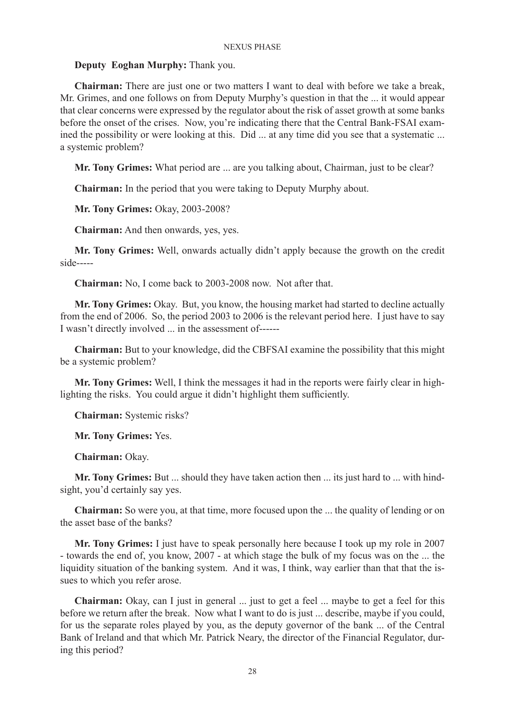# **Deputy Eoghan Murphy:** Thank you.

**Chairman:** There are just one or two matters I want to deal with before we take a break, Mr. Grimes, and one follows on from Deputy Murphy's question in that the ... it would appear that clear concerns were expressed by the regulator about the risk of asset growth at some banks before the onset of the crises. Now, you're indicating there that the Central Bank-FSAI examined the possibility or were looking at this. Did ... at any time did you see that a systematic ... a systemic problem?

**Mr. Tony Grimes:** What period are ... are you talking about, Chairman, just to be clear?

**Chairman:** In the period that you were taking to Deputy Murphy about.

**Mr. Tony Grimes:** Okay, 2003-2008?

**Chairman:** And then onwards, yes, yes.

**Mr. Tony Grimes:** Well, onwards actually didn't apply because the growth on the credit side-----

**Chairman:** No, I come back to 2003-2008 now. Not after that.

**Mr. Tony Grimes:** Okay. But, you know, the housing market had started to decline actually from the end of 2006. So, the period 2003 to 2006 is the relevant period here. I just have to say I wasn't directly involved ... in the assessment of------

**Chairman:** But to your knowledge, did the CBFSAI examine the possibility that this might be a systemic problem?

**Mr. Tony Grimes:** Well, I think the messages it had in the reports were fairly clear in highlighting the risks. You could argue it didn't highlight them sufficiently.

**Chairman:** Systemic risks?

**Mr. Tony Grimes:** Yes.

**Chairman:** Okay.

**Mr. Tony Grimes:** But ... should they have taken action then ... its just hard to ... with hindsight, you'd certainly say yes.

**Chairman:** So were you, at that time, more focused upon the ... the quality of lending or on the asset base of the banks?

**Mr. Tony Grimes:** I just have to speak personally here because I took up my role in 2007 - towards the end of, you know, 2007 - at which stage the bulk of my focus was on the ... the liquidity situation of the banking system. And it was, I think, way earlier than that that the issues to which you refer arose.

**Chairman:** Okay, can I just in general ... just to get a feel ... maybe to get a feel for this before we return after the break. Now what I want to do is just ... describe, maybe if you could, for us the separate roles played by you, as the deputy governor of the bank ... of the Central Bank of Ireland and that which Mr. Patrick Neary, the director of the Financial Regulator, during this period?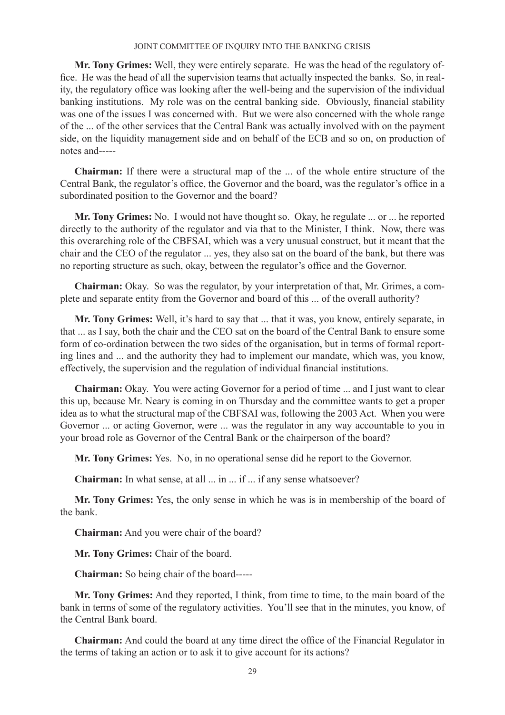**Mr. Tony Grimes:** Well, they were entirely separate. He was the head of the regulatory office. He was the head of all the supervision teams that actually inspected the banks. So, in reality, the regulatory office was looking after the well-being and the supervision of the individual banking institutions. My role was on the central banking side. Obviously, financial stability was one of the issues I was concerned with. But we were also concerned with the whole range of the ... of the other services that the Central Bank was actually involved with on the payment side, on the liquidity management side and on behalf of the ECB and so on, on production of notes and-----

**Chairman:** If there were a structural map of the ... of the whole entire structure of the Central Bank, the regulator's office, the Governor and the board, was the regulator's office in a subordinated position to the Governor and the board?

**Mr. Tony Grimes:** No. I would not have thought so. Okay, he regulate ... or ... he reported directly to the authority of the regulator and via that to the Minister, I think. Now, there was this overarching role of the CBFSAI, which was a very unusual construct, but it meant that the chair and the CEO of the regulator ... yes, they also sat on the board of the bank, but there was no reporting structure as such, okay, between the regulator's office and the Governor.

**Chairman:** Okay. So was the regulator, by your interpretation of that, Mr. Grimes, a complete and separate entity from the Governor and board of this ... of the overall authority?

**Mr. Tony Grimes:** Well, it's hard to say that ... that it was, you know, entirely separate, in that ... as I say, both the chair and the CEO sat on the board of the Central Bank to ensure some form of co-ordination between the two sides of the organisation, but in terms of formal reporting lines and ... and the authority they had to implement our mandate, which was, you know, effectively, the supervision and the regulation of individual financial institutions.

**Chairman:** Okay. You were acting Governor for a period of time ... and I just want to clear this up, because Mr. Neary is coming in on Thursday and the committee wants to get a proper idea as to what the structural map of the CBFSAI was, following the 2003 Act. When you were Governor ... or acting Governor, were ... was the regulator in any way accountable to you in your broad role as Governor of the Central Bank or the chairperson of the board?

**Mr. Tony Grimes:** Yes. No, in no operational sense did he report to the Governor.

**Chairman:** In what sense, at all ... in ... if ... if any sense whatsoever?

**Mr. Tony Grimes:** Yes, the only sense in which he was is in membership of the board of the bank.

**Chairman:** And you were chair of the board?

**Mr. Tony Grimes:** Chair of the board.

**Chairman:** So being chair of the board-----

**Mr. Tony Grimes:** And they reported, I think, from time to time, to the main board of the bank in terms of some of the regulatory activities. You'll see that in the minutes, you know, of the Central Bank board.

**Chairman:** And could the board at any time direct the office of the Financial Regulator in the terms of taking an action or to ask it to give account for its actions?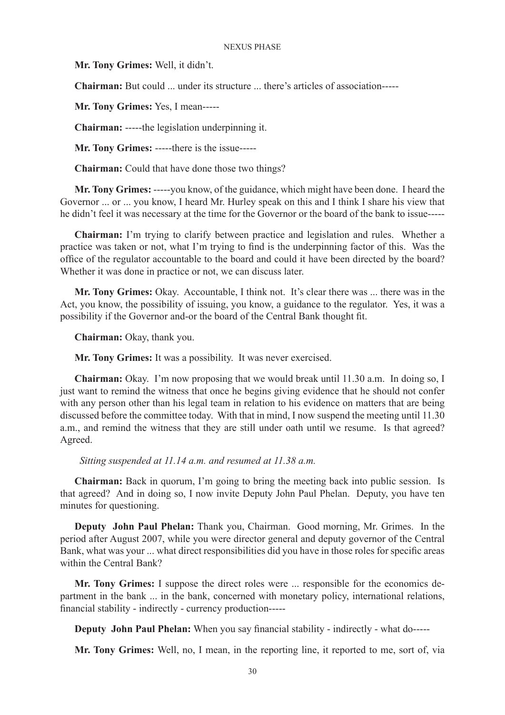**Mr. Tony Grimes:** Well, it didn't.

**Chairman:** But could ... under its structure ... there's articles of association-----

**Mr. Tony Grimes:** Yes, I mean-----

**Chairman:** -----the legislation underpinning it.

**Mr. Tony Grimes:** -----there is the issue-----

**Chairman:** Could that have done those two things?

**Mr. Tony Grimes:** -----you know, of the guidance, which might have been done. I heard the Governor ... or ... you know, I heard Mr. Hurley speak on this and I think I share his view that he didn't feel it was necessary at the time for the Governor or the board of the bank to issue-----

**Chairman:** I'm trying to clarify between practice and legislation and rules. Whether a practice was taken or not, what I'm trying to find is the underpinning factor of this. Was the office of the regulator accountable to the board and could it have been directed by the board? Whether it was done in practice or not, we can discuss later.

**Mr. Tony Grimes:** Okay. Accountable, I think not. It's clear there was ... there was in the Act, you know, the possibility of issuing, you know, a guidance to the regulator. Yes, it was a possibility if the Governor and-or the board of the Central Bank thought fit.

**Chairman:** Okay, thank you.

**Mr. Tony Grimes:** It was a possibility. It was never exercised.

**Chairman:** Okay. I'm now proposing that we would break until 11.30 a.m. In doing so, I just want to remind the witness that once he begins giving evidence that he should not confer with any person other than his legal team in relation to his evidence on matters that are being discussed before the committee today. With that in mind, I now suspend the meeting until 11.30 a.m., and remind the witness that they are still under oath until we resume. Is that agreed? Agreed.

 *Sitting suspended at 11.14 a.m. and resumed at 11.38 a.m.*

**Chairman:** Back in quorum, I'm going to bring the meeting back into public session. Is that agreed? And in doing so, I now invite Deputy John Paul Phelan. Deputy, you have ten minutes for questioning.

**Deputy John Paul Phelan:** Thank you, Chairman. Good morning, Mr. Grimes. In the period after August 2007, while you were director general and deputy governor of the Central Bank, what was your ... what direct responsibilities did you have in those roles for specific areas within the Central Bank?

**Mr. Tony Grimes:** I suppose the direct roles were ... responsible for the economics department in the bank ... in the bank, concerned with monetary policy, international relations, financial stability - indirectly - currency production-----

**Deputy John Paul Phelan:** When you say financial stability - indirectly - what do-----

**Mr. Tony Grimes:** Well, no, I mean, in the reporting line, it reported to me, sort of, via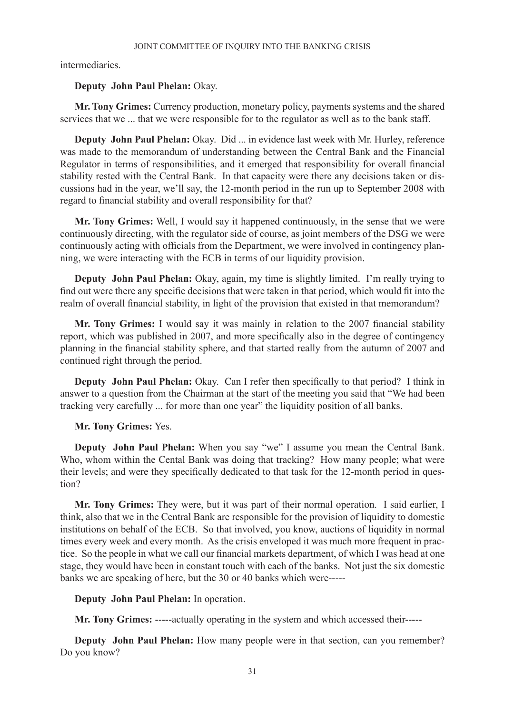intermediaries.

# **Deputy John Paul Phelan:** Okay.

**Mr. Tony Grimes:** Currency production, monetary policy, payments systems and the shared services that we ... that we were responsible for to the regulator as well as to the bank staff.

**Deputy John Paul Phelan:** Okay. Did ... in evidence last week with Mr. Hurley, reference was made to the memorandum of understanding between the Central Bank and the Financial Regulator in terms of responsibilities, and it emerged that responsibility for overall financial stability rested with the Central Bank. In that capacity were there any decisions taken or discussions had in the year, we'll say, the 12-month period in the run up to September 2008 with regard to financial stability and overall responsibility for that?

**Mr. Tony Grimes:** Well, I would say it happened continuously, in the sense that we were continuously directing, with the regulator side of course, as joint members of the DSG we were continuously acting with officials from the Department, we were involved in contingency planning, we were interacting with the ECB in terms of our liquidity provision.

**Deputy John Paul Phelan:** Okay, again, my time is slightly limited. I'm really trying to find out were there any specific decisions that were taken in that period, which would fit into the realm of overall financial stability, in light of the provision that existed in that memorandum?

**Mr. Tony Grimes:** I would say it was mainly in relation to the 2007 financial stability report, which was published in 2007, and more specifically also in the degree of contingency planning in the financial stability sphere, and that started really from the autumn of 2007 and continued right through the period.

**Deputy John Paul Phelan:** Okay. Can I refer then specifically to that period? I think in answer to a question from the Chairman at the start of the meeting you said that "We had been tracking very carefully ... for more than one year" the liquidity position of all banks.

# **Mr. Tony Grimes:** Yes.

**Deputy John Paul Phelan:** When you say "we" I assume you mean the Central Bank. Who, whom within the Cental Bank was doing that tracking? How many people; what were their levels; and were they specifically dedicated to that task for the 12-month period in question?

**Mr. Tony Grimes:** They were, but it was part of their normal operation. I said earlier, I think, also that we in the Central Bank are responsible for the provision of liquidity to domestic institutions on behalf of the ECB. So that involved, you know, auctions of liquidity in normal times every week and every month. As the crisis enveloped it was much more frequent in practice. So the people in what we call our financial markets department, of which I was head at one stage, they would have been in constant touch with each of the banks. Not just the six domestic banks we are speaking of here, but the 30 or 40 banks which were-----

# **Deputy John Paul Phelan:** In operation.

**Mr. Tony Grimes:** -----actually operating in the system and which accessed their-----

**Deputy John Paul Phelan:** How many people were in that section, can you remember? Do you know?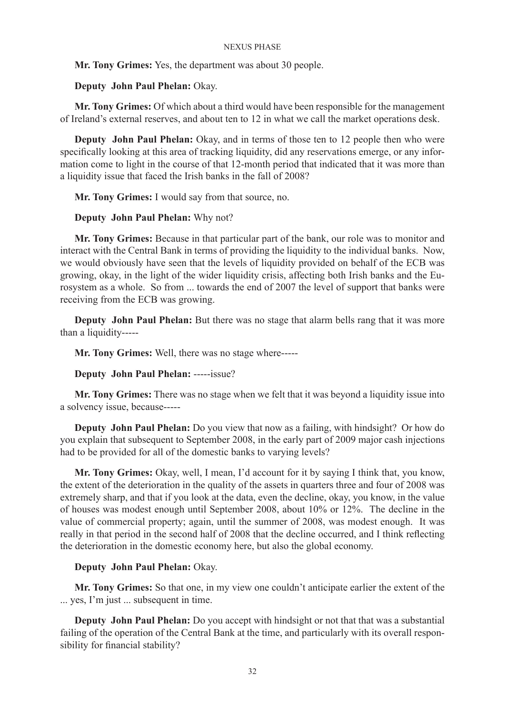**Mr. Tony Grimes:** Yes, the department was about 30 people.

# **Deputy John Paul Phelan:** Okay.

**Mr. Tony Grimes:** Of which about a third would have been responsible for the management of Ireland's external reserves, and about ten to 12 in what we call the market operations desk.

**Deputy John Paul Phelan:** Okay, and in terms of those ten to 12 people then who were specifically looking at this area of tracking liquidity, did any reservations emerge, or any information come to light in the course of that 12-month period that indicated that it was more than a liquidity issue that faced the Irish banks in the fall of 2008?

**Mr. Tony Grimes:** I would say from that source, no.

# **Deputy John Paul Phelan:** Why not?

**Mr. Tony Grimes:** Because in that particular part of the bank, our role was to monitor and interact with the Central Bank in terms of providing the liquidity to the individual banks. Now, we would obviously have seen that the levels of liquidity provided on behalf of the ECB was growing, okay, in the light of the wider liquidity crisis, affecting both Irish banks and the Eurosystem as a whole. So from ... towards the end of 2007 the level of support that banks were receiving from the ECB was growing.

**Deputy John Paul Phelan:** But there was no stage that alarm bells rang that it was more than a liquidity-----

**Mr. Tony Grimes:** Well, there was no stage where-----

# **Deputy John Paul Phelan:** -----issue?

**Mr. Tony Grimes:** There was no stage when we felt that it was beyond a liquidity issue into a solvency issue, because-----

**Deputy John Paul Phelan:** Do you view that now as a failing, with hindsight? Or how do you explain that subsequent to September 2008, in the early part of 2009 major cash injections had to be provided for all of the domestic banks to varying levels?

**Mr. Tony Grimes:** Okay, well, I mean, I'd account for it by saying I think that, you know, the extent of the deterioration in the quality of the assets in quarters three and four of 2008 was extremely sharp, and that if you look at the data, even the decline, okay, you know, in the value of houses was modest enough until September 2008, about 10% or 12%. The decline in the value of commercial property; again, until the summer of 2008, was modest enough. It was really in that period in the second half of 2008 that the decline occurred, and I think reflecting the deterioration in the domestic economy here, but also the global economy.

# **Deputy John Paul Phelan:** Okay.

**Mr. Tony Grimes:** So that one, in my view one couldn't anticipate earlier the extent of the ... yes, I'm just ... subsequent in time.

**Deputy John Paul Phelan:** Do you accept with hindsight or not that that was a substantial failing of the operation of the Central Bank at the time, and particularly with its overall responsibility for financial stability?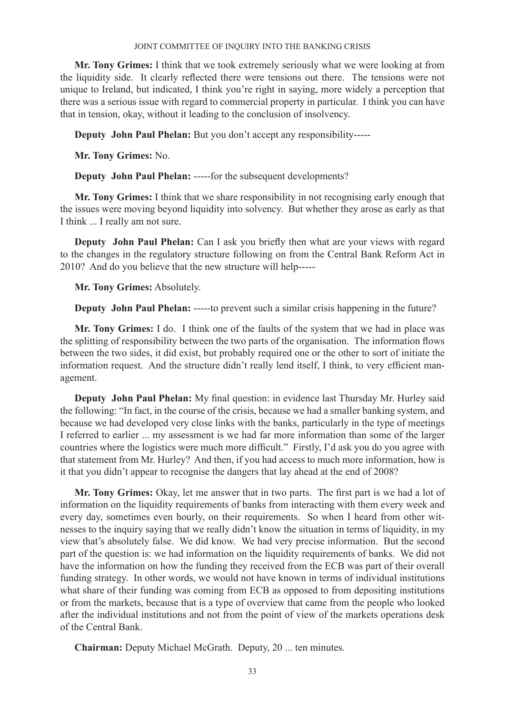**Mr. Tony Grimes:** I think that we took extremely seriously what we were looking at from the liquidity side. It clearly reflected there were tensions out there. The tensions were not unique to Ireland, but indicated, I think you're right in saying, more widely a perception that there was a serious issue with regard to commercial property in particular. I think you can have that in tension, okay, without it leading to the conclusion of insolvency.

**Deputy John Paul Phelan:** But you don't accept any responsibility-----

**Mr. Tony Grimes:** No.

**Deputy John Paul Phelan:** -----for the subsequent developments?

**Mr. Tony Grimes:** I think that we share responsibility in not recognising early enough that the issues were moving beyond liquidity into solvency. But whether they arose as early as that I think ... I really am not sure.

**Deputy John Paul Phelan:** Can I ask you briefly then what are your views with regard to the changes in the regulatory structure following on from the Central Bank Reform Act in 2010? And do you believe that the new structure will help-----

**Mr. Tony Grimes:** Absolutely.

**Deputy John Paul Phelan:** -----to prevent such a similar crisis happening in the future?

**Mr. Tony Grimes:** I do. I think one of the faults of the system that we had in place was the splitting of responsibility between the two parts of the organisation. The information flows between the two sides, it did exist, but probably required one or the other to sort of initiate the information request. And the structure didn't really lend itself, I think, to very efficient management.

**Deputy John Paul Phelan:** My final question: in evidence last Thursday Mr. Hurley said the following: "In fact, in the course of the crisis, because we had a smaller banking system, and because we had developed very close links with the banks, particularly in the type of meetings I referred to earlier ... my assessment is we had far more information than some of the larger countries where the logistics were much more difficult." Firstly, I'd ask you do you agree with that statement from Mr. Hurley? And then, if you had access to much more information, how is it that you didn't appear to recognise the dangers that lay ahead at the end of 2008?

**Mr. Tony Grimes:** Okay, let me answer that in two parts. The first part is we had a lot of information on the liquidity requirements of banks from interacting with them every week and every day, sometimes even hourly, on their requirements. So when I heard from other witnesses to the inquiry saying that we really didn't know the situation in terms of liquidity, in my view that's absolutely false. We did know. We had very precise information. But the second part of the question is: we had information on the liquidity requirements of banks. We did not have the information on how the funding they received from the ECB was part of their overall funding strategy. In other words, we would not have known in terms of individual institutions what share of their funding was coming from ECB as opposed to from depositing institutions or from the markets, because that is a type of overview that came from the people who looked after the individual institutions and not from the point of view of the markets operations desk of the Central Bank.

**Chairman:** Deputy Michael McGrath. Deputy, 20 ... ten minutes.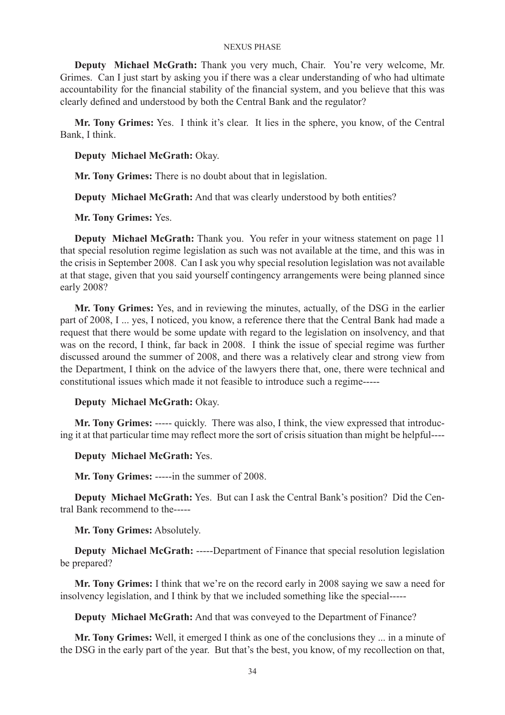**Deputy Michael McGrath:** Thank you very much, Chair. You're very welcome, Mr. Grimes. Can I just start by asking you if there was a clear understanding of who had ultimate accountability for the financial stability of the financial system, and you believe that this was clearly defined and understood by both the Central Bank and the regulator?

**Mr. Tony Grimes:** Yes. I think it's clear. It lies in the sphere, you know, of the Central Bank, I think.

**Deputy Michael McGrath:** Okay.

**Mr. Tony Grimes:** There is no doubt about that in legislation.

**Deputy Michael McGrath:** And that was clearly understood by both entities?

**Mr. Tony Grimes:** Yes.

**Deputy Michael McGrath:** Thank you. You refer in your witness statement on page 11 that special resolution regime legislation as such was not available at the time, and this was in the crisis in September 2008. Can I ask you why special resolution legislation was not available at that stage, given that you said yourself contingency arrangements were being planned since early 2008?

**Mr. Tony Grimes:** Yes, and in reviewing the minutes, actually, of the DSG in the earlier part of 2008, I ... yes, I noticed, you know, a reference there that the Central Bank had made a request that there would be some update with regard to the legislation on insolvency, and that was on the record, I think, far back in 2008. I think the issue of special regime was further discussed around the summer of 2008, and there was a relatively clear and strong view from the Department, I think on the advice of the lawyers there that, one, there were technical and constitutional issues which made it not feasible to introduce such a regime-----

# **Deputy Michael McGrath:** Okay.

**Mr. Tony Grimes:** ----- quickly. There was also, I think, the view expressed that introducing it at that particular time may reflect more the sort of crisis situation than might be helpful----

**Deputy Michael McGrath:** Yes.

**Mr. Tony Grimes:** -----in the summer of 2008.

**Deputy Michael McGrath:** Yes. But can I ask the Central Bank's position? Did the Central Bank recommend to the-----

**Mr. Tony Grimes:** Absolutely.

**Deputy Michael McGrath:** -----Department of Finance that special resolution legislation be prepared?

**Mr. Tony Grimes:** I think that we're on the record early in 2008 saying we saw a need for insolvency legislation, and I think by that we included something like the special-----

**Deputy Michael McGrath:** And that was conveyed to the Department of Finance?

**Mr. Tony Grimes:** Well, it emerged I think as one of the conclusions they ... in a minute of the DSG in the early part of the year. But that's the best, you know, of my recollection on that,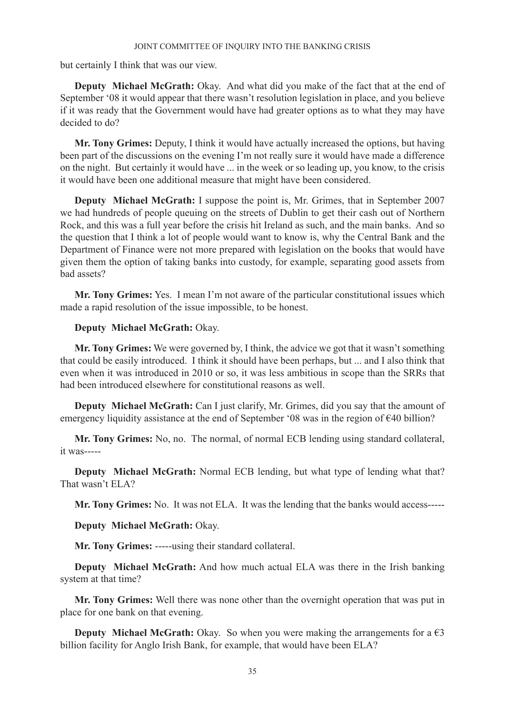but certainly I think that was our view.

**Deputy Michael McGrath:** Okay. And what did you make of the fact that at the end of September '08 it would appear that there wasn't resolution legislation in place, and you believe if it was ready that the Government would have had greater options as to what they may have decided to do?

**Mr. Tony Grimes:** Deputy, I think it would have actually increased the options, but having been part of the discussions on the evening I'm not really sure it would have made a difference on the night. But certainly it would have ... in the week or so leading up, you know, to the crisis it would have been one additional measure that might have been considered.

**Deputy Michael McGrath:** I suppose the point is, Mr. Grimes, that in September 2007 we had hundreds of people queuing on the streets of Dublin to get their cash out of Northern Rock, and this was a full year before the crisis hit Ireland as such, and the main banks. And so the question that I think a lot of people would want to know is, why the Central Bank and the Department of Finance were not more prepared with legislation on the books that would have given them the option of taking banks into custody, for example, separating good assets from bad assets?

**Mr. Tony Grimes:** Yes. I mean I'm not aware of the particular constitutional issues which made a rapid resolution of the issue impossible, to be honest.

# **Deputy Michael McGrath:** Okay.

**Mr. Tony Grimes:** We were governed by, I think, the advice we got that it wasn't something that could be easily introduced. I think it should have been perhaps, but ... and I also think that even when it was introduced in 2010 or so, it was less ambitious in scope than the SRRs that had been introduced elsewhere for constitutional reasons as well.

**Deputy Michael McGrath:** Can I just clarify, Mr. Grimes, did you say that the amount of emergency liquidity assistance at the end of September '08 was in the region of €40 billion?

**Mr. Tony Grimes:** No, no. The normal, of normal ECB lending using standard collateral, it was-----

**Deputy Michael McGrath:** Normal ECB lending, but what type of lending what that? That wasn't ELA?

**Mr. Tony Grimes:** No. It was not ELA. It was the lending that the banks would access-----

**Deputy Michael McGrath:** Okay.

**Mr. Tony Grimes:** -----using their standard collateral.

**Deputy Michael McGrath:** And how much actual ELA was there in the Irish banking system at that time?

**Mr. Tony Grimes:** Well there was none other than the overnight operation that was put in place for one bank on that evening.

**Deputy Michael McGrath:** Okay. So when you were making the arrangements for a  $\epsilon$ 3 billion facility for Anglo Irish Bank, for example, that would have been ELA?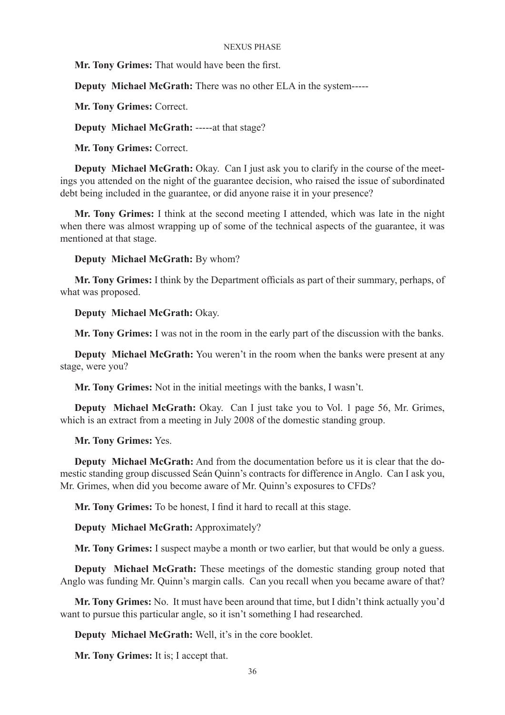**Mr. Tony Grimes:** That would have been the first.

**Deputy Michael McGrath:** There was no other ELA in the system-----

**Mr. Tony Grimes:** Correct.

**Deputy Michael McGrath:** -----at that stage?

**Mr. Tony Grimes:** Correct.

**Deputy Michael McGrath:** Okay. Can I just ask you to clarify in the course of the meetings you attended on the night of the guarantee decision, who raised the issue of subordinated debt being included in the guarantee, or did anyone raise it in your presence?

**Mr. Tony Grimes:** I think at the second meeting I attended, which was late in the night when there was almost wrapping up of some of the technical aspects of the guarantee, it was mentioned at that stage.

### **Deputy Michael McGrath:** By whom?

**Mr. Tony Grimes:** I think by the Department officials as part of their summary, perhaps, of what was proposed.

# **Deputy Michael McGrath:** Okay.

**Mr. Tony Grimes:** I was not in the room in the early part of the discussion with the banks.

**Deputy Michael McGrath:** You weren't in the room when the banks were present at any stage, were you?

**Mr. Tony Grimes:** Not in the initial meetings with the banks, I wasn't.

**Deputy Michael McGrath:** Okay. Can I just take you to Vol. 1 page 56, Mr. Grimes, which is an extract from a meeting in July 2008 of the domestic standing group.

# **Mr. Tony Grimes:** Yes.

**Deputy Michael McGrath:** And from the documentation before us it is clear that the domestic standing group discussed Seán Quinn's contracts for difference in Anglo. Can I ask you, Mr. Grimes, when did you become aware of Mr. Quinn's exposures to CFDs?

**Mr. Tony Grimes:** To be honest, I find it hard to recall at this stage.

**Deputy Michael McGrath:** Approximately?

**Mr. Tony Grimes:** I suspect maybe a month or two earlier, but that would be only a guess.

**Deputy Michael McGrath:** These meetings of the domestic standing group noted that Anglo was funding Mr. Quinn's margin calls. Can you recall when you became aware of that?

**Mr. Tony Grimes:** No. It must have been around that time, but I didn't think actually you'd want to pursue this particular angle, so it isn't something I had researched.

**Deputy Michael McGrath:** Well, it's in the core booklet.

**Mr. Tony Grimes:** It is; I accept that.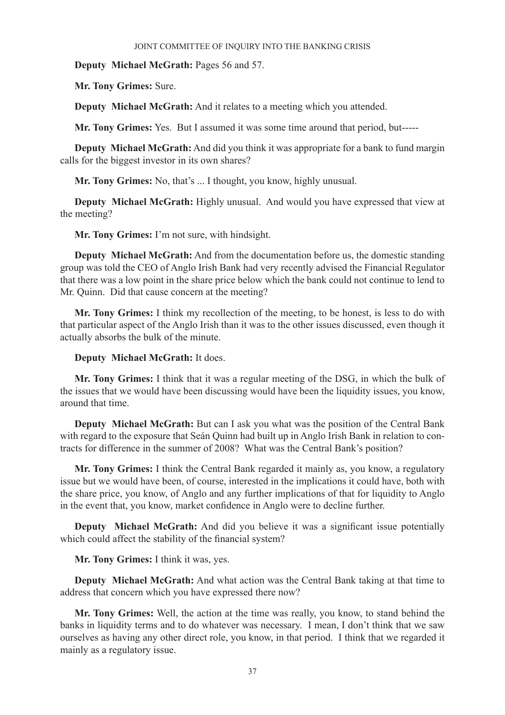**Deputy Michael McGrath:** Pages 56 and 57.

**Mr. Tony Grimes:** Sure.

**Deputy Michael McGrath:** And it relates to a meeting which you attended.

**Mr. Tony Grimes:** Yes. But I assumed it was some time around that period, but-----

**Deputy Michael McGrath:** And did you think it was appropriate for a bank to fund margin calls for the biggest investor in its own shares?

**Mr. Tony Grimes:** No, that's ... I thought, you know, highly unusual.

**Deputy Michael McGrath:** Highly unusual. And would you have expressed that view at the meeting?

**Mr. Tony Grimes:** I'm not sure, with hindsight.

**Deputy Michael McGrath:** And from the documentation before us, the domestic standing group was told the CEO of Anglo Irish Bank had very recently advised the Financial Regulator that there was a low point in the share price below which the bank could not continue to lend to Mr. Quinn. Did that cause concern at the meeting?

**Mr. Tony Grimes:** I think my recollection of the meeting, to be honest, is less to do with that particular aspect of the Anglo Irish than it was to the other issues discussed, even though it actually absorbs the bulk of the minute.

# **Deputy Michael McGrath:** It does.

**Mr. Tony Grimes:** I think that it was a regular meeting of the DSG, in which the bulk of the issues that we would have been discussing would have been the liquidity issues, you know, around that time.

**Deputy Michael McGrath:** But can I ask you what was the position of the Central Bank with regard to the exposure that Seán Quinn had built up in Anglo Irish Bank in relation to contracts for difference in the summer of 2008? What was the Central Bank's position?

**Mr. Tony Grimes:** I think the Central Bank regarded it mainly as, you know, a regulatory issue but we would have been, of course, interested in the implications it could have, both with the share price, you know, of Anglo and any further implications of that for liquidity to Anglo in the event that, you know, market confidence in Anglo were to decline further.

**Deputy Michael McGrath:** And did you believe it was a significant issue potentially which could affect the stability of the financial system?

**Mr. Tony Grimes:** I think it was, yes.

**Deputy Michael McGrath:** And what action was the Central Bank taking at that time to address that concern which you have expressed there now?

**Mr. Tony Grimes:** Well, the action at the time was really, you know, to stand behind the banks in liquidity terms and to do whatever was necessary. I mean, I don't think that we saw ourselves as having any other direct role, you know, in that period. I think that we regarded it mainly as a regulatory issue.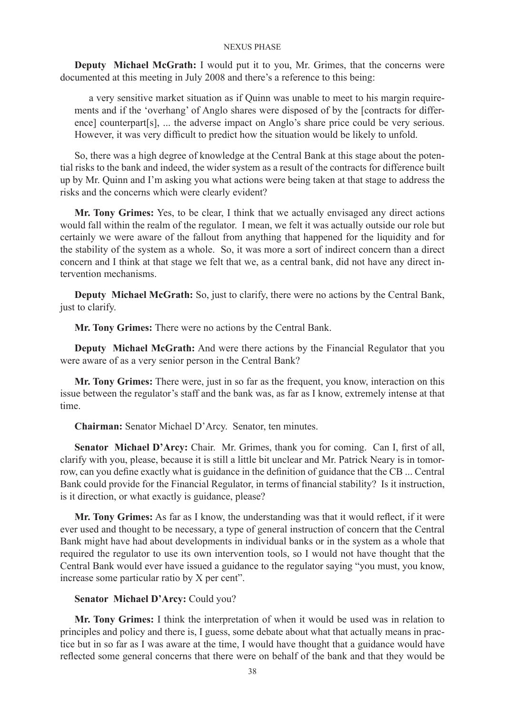**Deputy Michael McGrath:** I would put it to you, Mr. Grimes, that the concerns were documented at this meeting in July 2008 and there's a reference to this being:

a very sensitive market situation as if Quinn was unable to meet to his margin requirements and if the 'overhang' of Anglo shares were disposed of by the [contracts for difference] counterpart[s], ... the adverse impact on Anglo's share price could be very serious. However, it was very difficult to predict how the situation would be likely to unfold.

So, there was a high degree of knowledge at the Central Bank at this stage about the potential risks to the bank and indeed, the wider system as a result of the contracts for difference built up by Mr. Quinn and I'm asking you what actions were being taken at that stage to address the risks and the concerns which were clearly evident?

**Mr. Tony Grimes:** Yes, to be clear, I think that we actually envisaged any direct actions would fall within the realm of the regulator. I mean, we felt it was actually outside our role but certainly we were aware of the fallout from anything that happened for the liquidity and for the stability of the system as a whole. So, it was more a sort of indirect concern than a direct concern and I think at that stage we felt that we, as a central bank, did not have any direct intervention mechanisms.

**Deputy Michael McGrath:** So, just to clarify, there were no actions by the Central Bank, just to clarify.

**Mr. Tony Grimes:** There were no actions by the Central Bank.

**Deputy Michael McGrath:** And were there actions by the Financial Regulator that you were aware of as a very senior person in the Central Bank?

**Mr. Tony Grimes:** There were, just in so far as the frequent, you know, interaction on this issue between the regulator's staff and the bank was, as far as I know, extremely intense at that time.

**Chairman:** Senator Michael D'Arcy. Senator, ten minutes.

**Senator Michael D'Arcy:** Chair. Mr. Grimes, thank you for coming. Can I, first of all, clarify with you, please, because it is still a little bit unclear and Mr. Patrick Neary is in tomorrow, can you define exactly what is guidance in the definition of guidance that the CB ... Central Bank could provide for the Financial Regulator, in terms of financial stability? Is it instruction, is it direction, or what exactly is guidance, please?

**Mr. Tony Grimes:** As far as I know, the understanding was that it would reflect, if it were ever used and thought to be necessary, a type of general instruction of concern that the Central Bank might have had about developments in individual banks or in the system as a whole that required the regulator to use its own intervention tools, so I would not have thought that the Central Bank would ever have issued a guidance to the regulator saying "you must, you know, increase some particular ratio by X per cent".

# **Senator Michael D'Arcy:** Could you?

**Mr. Tony Grimes:** I think the interpretation of when it would be used was in relation to principles and policy and there is, I guess, some debate about what that actually means in practice but in so far as I was aware at the time, I would have thought that a guidance would have reflected some general concerns that there were on behalf of the bank and that they would be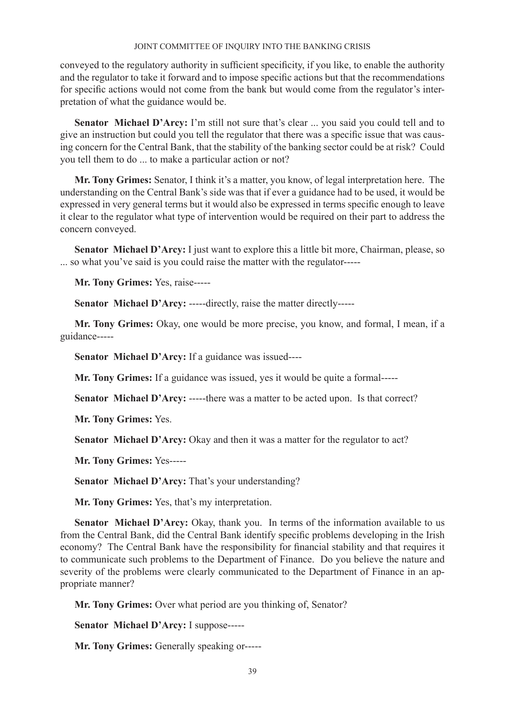conveyed to the regulatory authority in sufficient specificity, if you like, to enable the authority and the regulator to take it forward and to impose specific actions but that the recommendations for specific actions would not come from the bank but would come from the regulator's interpretation of what the guidance would be.

**Senator Michael D'Arcy:** I'm still not sure that's clear ... you said you could tell and to give an instruction but could you tell the regulator that there was a specific issue that was causing concern for the Central Bank, that the stability of the banking sector could be at risk? Could you tell them to do ... to make a particular action or not?

**Mr. Tony Grimes:** Senator, I think it's a matter, you know, of legal interpretation here. The understanding on the Central Bank's side was that if ever a guidance had to be used, it would be expressed in very general terms but it would also be expressed in terms specific enough to leave it clear to the regulator what type of intervention would be required on their part to address the concern conveyed.

Senator Michael D'Arcy: I just want to explore this a little bit more, Chairman, please, so ... so what you've said is you could raise the matter with the regulator-----

**Mr. Tony Grimes:** Yes, raise-----

**Senator Michael D'Arcy:** -----directly, raise the matter directly-----

**Mr. Tony Grimes:** Okay, one would be more precise, you know, and formal, I mean, if a guidance-----

**Senator Michael D'Arcy:** If a guidance was issued----

**Mr. Tony Grimes:** If a guidance was issued, yes it would be quite a formal-----

**Senator Michael D'Arcy:** -----there was a matter to be acted upon. Is that correct?

**Mr. Tony Grimes:** Yes.

**Senator Michael D'Arcy:** Okay and then it was a matter for the regulator to act?

**Mr. Tony Grimes:** Yes-----

**Senator Michael D'Arcy:** That's your understanding?

**Mr. Tony Grimes:** Yes, that's my interpretation.

**Senator Michael D'Arcy:** Okay, thank you. In terms of the information available to us from the Central Bank, did the Central Bank identify specific problems developing in the Irish economy? The Central Bank have the responsibility for financial stability and that requires it to communicate such problems to the Department of Finance. Do you believe the nature and severity of the problems were clearly communicated to the Department of Finance in an appropriate manner?

**Mr. Tony Grimes:** Over what period are you thinking of, Senator?

**Senator Michael D'Arcy:** I suppose-----

**Mr. Tony Grimes:** Generally speaking or-----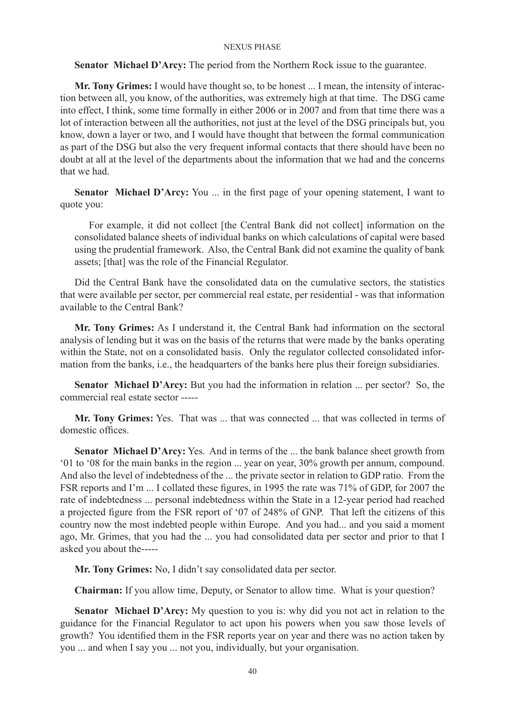**Senator Michael D'Arcy:** The period from the Northern Rock issue to the guarantee.

**Mr. Tony Grimes:** I would have thought so, to be honest ... I mean, the intensity of interaction between all, you know, of the authorities, was extremely high at that time. The DSG came into effect, I think, some time formally in either 2006 or in 2007 and from that time there was a lot of interaction between all the authorities, not just at the level of the DSG principals but, you know, down a layer or two, and I would have thought that between the formal communication as part of the DSG but also the very frequent informal contacts that there should have been no doubt at all at the level of the departments about the information that we had and the concerns that we had.

**Senator Michael D'Arcy:** You ... in the first page of your opening statement, I want to quote you:

For example, it did not collect [the Central Bank did not collect] information on the consolidated balance sheets of individual banks on which calculations of capital were based using the prudential framework. Also, the Central Bank did not examine the quality of bank assets; [that] was the role of the Financial Regulator.

Did the Central Bank have the consolidated data on the cumulative sectors, the statistics that were available per sector, per commercial real estate, per residential - was that information available to the Central Bank?

**Mr. Tony Grimes:** As I understand it, the Central Bank had information on the sectoral analysis of lending but it was on the basis of the returns that were made by the banks operating within the State, not on a consolidated basis. Only the regulator collected consolidated information from the banks, i.e., the headquarters of the banks here plus their foreign subsidiaries.

**Senator Michael D'Arcy:** But you had the information in relation ... per sector? So, the commercial real estate sector -----

**Mr. Tony Grimes:** Yes. That was ... that was connected ... that was collected in terms of domestic offices.

**Senator Michael D'Arcy:** Yes. And in terms of the ... the bank balance sheet growth from '01 to '08 for the main banks in the region ... year on year, 30% growth per annum, compound. And also the level of indebtedness of the ... the private sector in relation to GDP ratio. From the FSR reports and I'm ... I collated these figures, in 1995 the rate was 71% of GDP, for 2007 the rate of indebtedness ... personal indebtedness within the State in a 12-year period had reached a projected figure from the FSR report of '07 of 248% of GNP. That left the citizens of this country now the most indebted people within Europe. And you had... and you said a moment ago, Mr. Grimes, that you had the ... you had consolidated data per sector and prior to that I asked you about the-----

**Mr. Tony Grimes:** No, I didn't say consolidated data per sector.

**Chairman:** If you allow time, Deputy, or Senator to allow time. What is your question?

**Senator Michael D'Arcy:** My question to you is: why did you not act in relation to the guidance for the Financial Regulator to act upon his powers when you saw those levels of growth? You identified them in the FSR reports year on year and there was no action taken by you ... and when I say you ... not you, individually, but your organisation.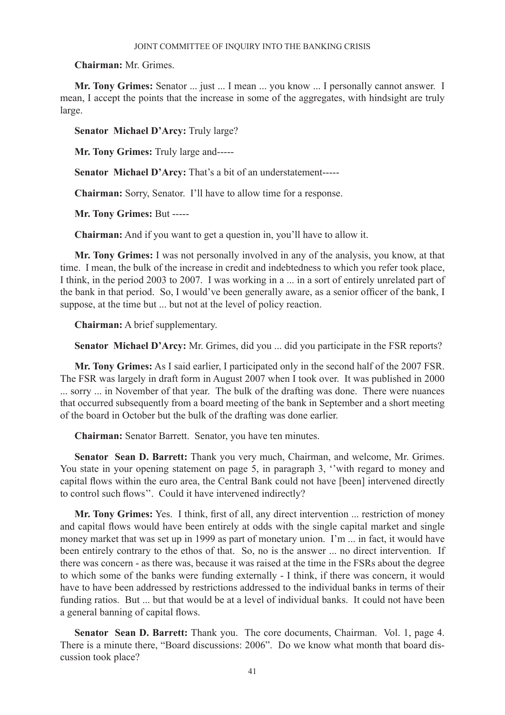**Chairman:** Mr. Grimes.

**Mr. Tony Grimes:** Senator ... just ... I mean ... you know ... I personally cannot answer. I mean, I accept the points that the increase in some of the aggregates, with hindsight are truly large.

**Senator Michael D'Arcy:** Truly large?

**Mr. Tony Grimes:** Truly large and-----

**Senator Michael D'Arcy:** That's a bit of an understatement-----

**Chairman:** Sorry, Senator. I'll have to allow time for a response.

**Mr. Tony Grimes:** But -----

**Chairman:** And if you want to get a question in, you'll have to allow it.

**Mr. Tony Grimes:** I was not personally involved in any of the analysis, you know, at that time. I mean, the bulk of the increase in credit and indebtedness to which you refer took place, I think, in the period 2003 to 2007. I was working in a ... in a sort of entirely unrelated part of the bank in that period. So, I would've been generally aware, as a senior officer of the bank, I suppose, at the time but ... but not at the level of policy reaction.

**Chairman:** A brief supplementary.

**Senator Michael D'Arcy:** Mr. Grimes, did you ... did you participate in the FSR reports?

**Mr. Tony Grimes:** As I said earlier, I participated only in the second half of the 2007 FSR. The FSR was largely in draft form in August 2007 when I took over. It was published in 2000 ... sorry ... in November of that year. The bulk of the drafting was done. There were nuances that occurred subsequently from a board meeting of the bank in September and a short meeting of the board in October but the bulk of the drafting was done earlier.

**Chairman:** Senator Barrett. Senator, you have ten minutes.

**Senator Sean D. Barrett:** Thank you very much, Chairman, and welcome, Mr. Grimes. You state in your opening statement on page 5, in paragraph 3, ''with regard to money and capital flows within the euro area, the Central Bank could not have [been] intervened directly to control such flows''. Could it have intervened indirectly?

**Mr. Tony Grimes:** Yes. I think, first of all, any direct intervention ... restriction of money and capital flows would have been entirely at odds with the single capital market and single money market that was set up in 1999 as part of monetary union. I'm ... in fact, it would have been entirely contrary to the ethos of that. So, no is the answer ... no direct intervention. If there was concern - as there was, because it was raised at the time in the FSRs about the degree to which some of the banks were funding externally - I think, if there was concern, it would have to have been addressed by restrictions addressed to the individual banks in terms of their funding ratios. But ... but that would be at a level of individual banks. It could not have been a general banning of capital flows.

**Senator Sean D. Barrett:** Thank you. The core documents, Chairman. Vol. 1, page 4. There is a minute there, "Board discussions: 2006". Do we know what month that board discussion took place?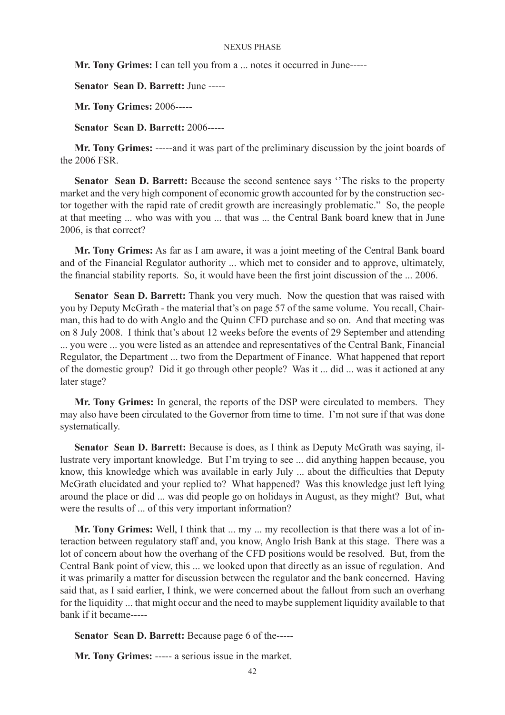**Mr. Tony Grimes:** I can tell you from a ... notes it occurred in June-----

**Senator Sean D. Barrett:** June -----

**Mr. Tony Grimes:** 2006-----

**Senator Sean D. Barrett:** 2006-----

**Mr. Tony Grimes:** -----and it was part of the preliminary discussion by the joint boards of the 2006 FSR.

**Senator Sean D. Barrett:** Because the second sentence says ''The risks to the property market and the very high component of economic growth accounted for by the construction sector together with the rapid rate of credit growth are increasingly problematic." So, the people at that meeting ... who was with you ... that was ... the Central Bank board knew that in June 2006 is that correct?

**Mr. Tony Grimes:** As far as I am aware, it was a joint meeting of the Central Bank board and of the Financial Regulator authority ... which met to consider and to approve, ultimately, the financial stability reports. So, it would have been the first joint discussion of the ... 2006.

**Senator Sean D. Barrett:** Thank you very much. Now the question that was raised with you by Deputy McGrath - the material that's on page 57 of the same volume. You recall, Chairman, this had to do with Anglo and the Quinn CFD purchase and so on. And that meeting was on 8 July 2008. I think that's about 12 weeks before the events of 29 September and attending ... you were ... you were listed as an attendee and representatives of the Central Bank, Financial Regulator, the Department ... two from the Department of Finance. What happened that report of the domestic group? Did it go through other people? Was it ... did ... was it actioned at any later stage?

**Mr. Tony Grimes:** In general, the reports of the DSP were circulated to members. They may also have been circulated to the Governor from time to time. I'm not sure if that was done systematically.

**Senator Sean D. Barrett:** Because is does, as I think as Deputy McGrath was saying, illustrate very important knowledge. But I'm trying to see ... did anything happen because, you know, this knowledge which was available in early July ... about the difficulties that Deputy McGrath elucidated and your replied to? What happened? Was this knowledge just left lying around the place or did ... was did people go on holidays in August, as they might? But, what were the results of ... of this very important information?

**Mr. Tony Grimes:** Well, I think that ... my ... my recollection is that there was a lot of interaction between regulatory staff and, you know, Anglo Irish Bank at this stage. There was a lot of concern about how the overhang of the CFD positions would be resolved. But, from the Central Bank point of view, this ... we looked upon that directly as an issue of regulation. And it was primarily a matter for discussion between the regulator and the bank concerned. Having said that, as I said earlier, I think, we were concerned about the fallout from such an overhang for the liquidity ... that might occur and the need to maybe supplement liquidity available to that bank if it became-----

**Senator Sean D. Barrett:** Because page 6 of the-----

**Mr. Tony Grimes:** ----- a serious issue in the market.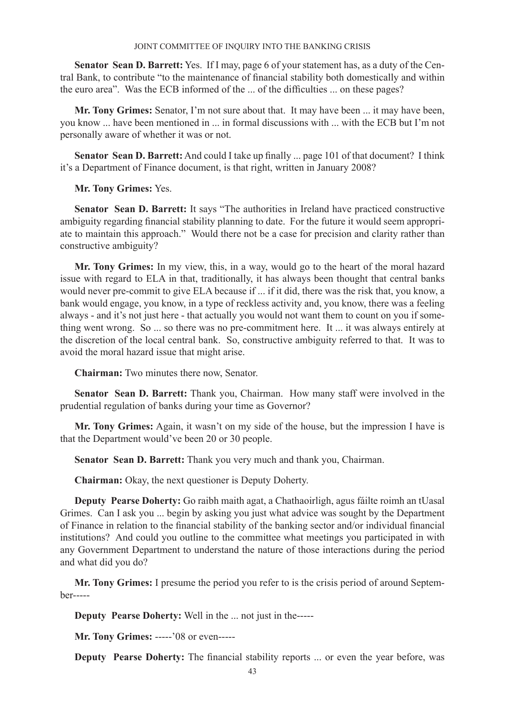**Senator Sean D. Barrett:** Yes. If I may, page 6 of your statement has, as a duty of the Central Bank, to contribute "to the maintenance of financial stability both domestically and within the euro area". Was the ECB informed of the ... of the difficulties ... on these pages?

**Mr. Tony Grimes:** Senator, I'm not sure about that. It may have been ... it may have been, you know ... have been mentioned in ... in formal discussions with ... with the ECB but I'm not personally aware of whether it was or not.

**Senator Sean D. Barrett:** And could I take up finally ... page 101 of that document? I think it's a Department of Finance document, is that right, written in January 2008?

**Mr. Tony Grimes:** Yes.

**Senator Sean D. Barrett:** It says "The authorities in Ireland have practiced constructive ambiguity regarding financial stability planning to date. For the future it would seem appropriate to maintain this approach." Would there not be a case for precision and clarity rather than constructive ambiguity?

**Mr. Tony Grimes:** In my view, this, in a way, would go to the heart of the moral hazard issue with regard to ELA in that, traditionally, it has always been thought that central banks would never pre-commit to give ELA because if ... if it did, there was the risk that, you know, a bank would engage, you know, in a type of reckless activity and, you know, there was a feeling always - and it's not just here - that actually you would not want them to count on you if something went wrong. So ... so there was no pre-commitment here. It ... it was always entirely at the discretion of the local central bank. So, constructive ambiguity referred to that. It was to avoid the moral hazard issue that might arise.

**Chairman:** Two minutes there now, Senator.

**Senator Sean D. Barrett:** Thank you, Chairman. How many staff were involved in the prudential regulation of banks during your time as Governor?

**Mr. Tony Grimes:** Again, it wasn't on my side of the house, but the impression I have is that the Department would've been 20 or 30 people.

**Senator Sean D. Barrett:** Thank you very much and thank you, Chairman.

**Chairman:** Okay, the next questioner is Deputy Doherty.

**Deputy Pearse Doherty:** Go raibh maith agat, a Chathaoirligh, agus fáilte roimh an tUasal Grimes. Can I ask you ... begin by asking you just what advice was sought by the Department of Finance in relation to the financial stability of the banking sector and/or individual financial institutions? And could you outline to the committee what meetings you participated in with any Government Department to understand the nature of those interactions during the period and what did you do?

**Mr. Tony Grimes:** I presume the period you refer to is the crisis period of around September-----

**Deputy Pearse Doherty:** Well in the ... not just in the-----

**Mr. Tony Grimes:** -----'08 or even-----

**Deputy Pearse Doherty:** The financial stability reports ... or even the year before, was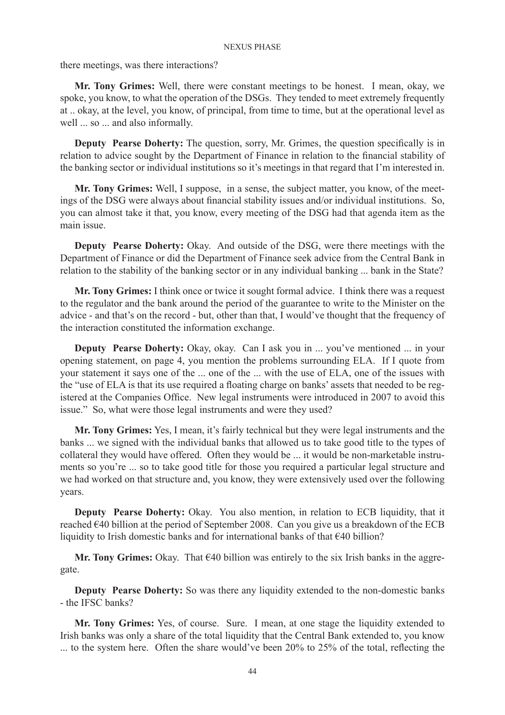there meetings, was there interactions?

**Mr. Tony Grimes:** Well, there were constant meetings to be honest. I mean, okay, we spoke, you know, to what the operation of the DSGs. They tended to meet extremely frequently at .. okay, at the level, you know, of principal, from time to time, but at the operational level as well ... so ... and also informally.

**Deputy Pearse Doherty:** The question, sorry, Mr. Grimes, the question specifically is in relation to advice sought by the Department of Finance in relation to the financial stability of the banking sector or individual institutions so it's meetings in that regard that I'm interested in.

**Mr. Tony Grimes:** Well, I suppose, in a sense, the subject matter, you know, of the meetings of the DSG were always about financial stability issues and/or individual institutions. So, you can almost take it that, you know, every meeting of the DSG had that agenda item as the main issue.

**Deputy Pearse Doherty:** Okay. And outside of the DSG, were there meetings with the Department of Finance or did the Department of Finance seek advice from the Central Bank in relation to the stability of the banking sector or in any individual banking ... bank in the State?

**Mr. Tony Grimes:** I think once or twice it sought formal advice. I think there was a request to the regulator and the bank around the period of the guarantee to write to the Minister on the advice - and that's on the record - but, other than that, I would've thought that the frequency of the interaction constituted the information exchange.

**Deputy Pearse Doherty:** Okay, okay. Can I ask you in ... you've mentioned ... in your opening statement, on page 4, you mention the problems surrounding ELA. If I quote from your statement it says one of the ... one of the ... with the use of ELA, one of the issues with the "use of ELA is that its use required a floating charge on banks' assets that needed to be registered at the Companies Office. New legal instruments were introduced in 2007 to avoid this issue." So, what were those legal instruments and were they used?

**Mr. Tony Grimes:** Yes, I mean, it's fairly technical but they were legal instruments and the banks ... we signed with the individual banks that allowed us to take good title to the types of collateral they would have offered. Often they would be ... it would be non-marketable instruments so you're ... so to take good title for those you required a particular legal structure and we had worked on that structure and, you know, they were extensively used over the following years.

**Deputy Pearse Doherty:** Okay. You also mention, in relation to ECB liquidity, that it reached €40 billion at the period of September 2008. Can you give us a breakdown of the ECB liquidity to Irish domestic banks and for international banks of that €40 billion?

**Mr. Tony Grimes:** Okay. That €40 billion was entirely to the six Irish banks in the aggregate.

**Deputy Pearse Doherty:** So was there any liquidity extended to the non-domestic banks - the IFSC banks?

**Mr. Tony Grimes:** Yes, of course. Sure. I mean, at one stage the liquidity extended to Irish banks was only a share of the total liquidity that the Central Bank extended to, you know ... to the system here. Often the share would've been 20% to 25% of the total, reflecting the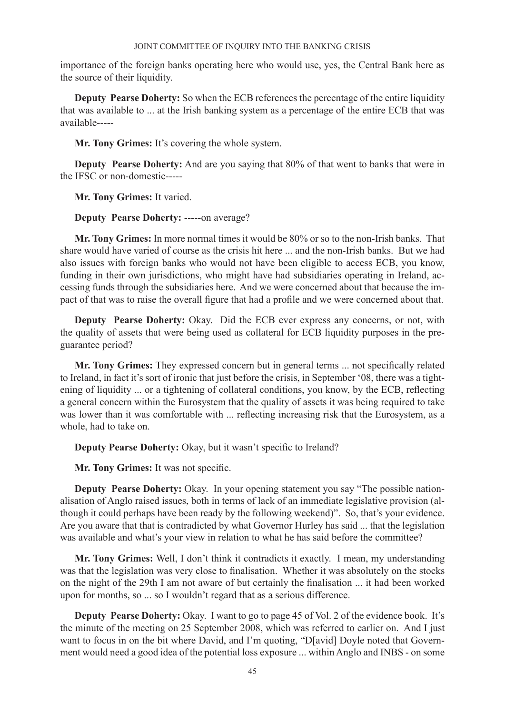importance of the foreign banks operating here who would use, yes, the Central Bank here as the source of their liquidity.

**Deputy Pearse Doherty:** So when the ECB references the percentage of the entire liquidity that was available to ... at the Irish banking system as a percentage of the entire ECB that was available-----

**Mr. Tony Grimes:** It's covering the whole system.

**Deputy Pearse Doherty:** And are you saying that 80% of that went to banks that were in the IFSC or non-domestic-----

**Mr. Tony Grimes:** It varied.

**Deputy Pearse Doherty:** -----on average?

**Mr. Tony Grimes:** In more normal times it would be 80% or so to the non-Irish banks. That share would have varied of course as the crisis hit here ... and the non-Irish banks. But we had also issues with foreign banks who would not have been eligible to access ECB, you know, funding in their own jurisdictions, who might have had subsidiaries operating in Ireland, accessing funds through the subsidiaries here. And we were concerned about that because the impact of that was to raise the overall figure that had a profile and we were concerned about that.

**Deputy Pearse Doherty:** Okay. Did the ECB ever express any concerns, or not, with the quality of assets that were being used as collateral for ECB liquidity purposes in the preguarantee period?

**Mr. Tony Grimes:** They expressed concern but in general terms ... not specifically related to Ireland, in fact it's sort of ironic that just before the crisis, in September '08, there was a tightening of liquidity ... or a tightening of collateral conditions, you know, by the ECB, reflecting a general concern within the Eurosystem that the quality of assets it was being required to take was lower than it was comfortable with ... reflecting increasing risk that the Eurosystem, as a whole, had to take on.

**Deputy Pearse Doherty:** Okay, but it wasn't specific to Ireland?

**Mr. Tony Grimes:** It was not specific.

**Deputy Pearse Doherty:** Okay. In your opening statement you say "The possible nationalisation of Anglo raised issues, both in terms of lack of an immediate legislative provision (although it could perhaps have been ready by the following weekend)". So, that's your evidence. Are you aware that that is contradicted by what Governor Hurley has said ... that the legislation was available and what's your view in relation to what he has said before the committee?

**Mr. Tony Grimes:** Well, I don't think it contradicts it exactly. I mean, my understanding was that the legislation was very close to finalisation. Whether it was absolutely on the stocks on the night of the 29th I am not aware of but certainly the finalisation ... it had been worked upon for months, so ... so I wouldn't regard that as a serious difference.

**Deputy Pearse Doherty:** Okay. I want to go to page 45 of Vol. 2 of the evidence book. It's the minute of the meeting on 25 September 2008, which was referred to earlier on. And I just want to focus in on the bit where David, and I'm quoting, "D[avid] Doyle noted that Government would need a good idea of the potential loss exposure ... within Anglo and INBS - on some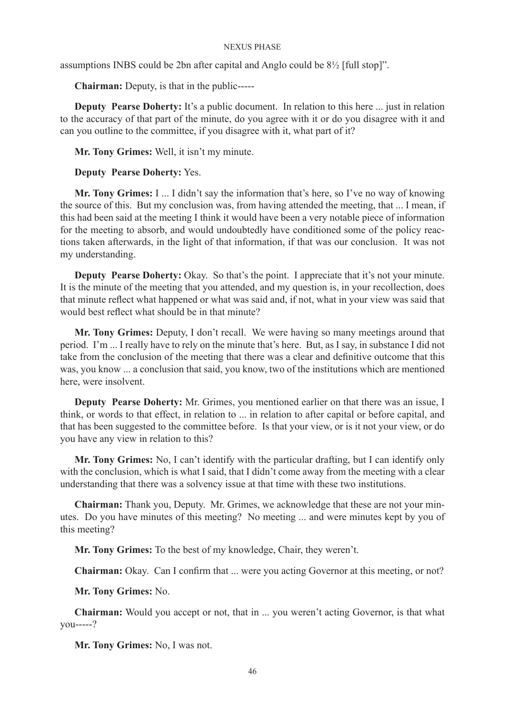assumptions INBS could be 2bn after capital and Anglo could be 8½ [full stop]".

**Chairman:** Deputy, is that in the public-----

**Deputy Pearse Doherty:** It's a public document. In relation to this here ... just in relation to the accuracy of that part of the minute, do you agree with it or do you disagree with it and can you outline to the committee, if you disagree with it, what part of it?

**Mr. Tony Grimes:** Well, it isn't my minute.

# **Deputy Pearse Doherty:** Yes.

**Mr. Tony Grimes:** I ... I didn't say the information that's here, so I've no way of knowing the source of this. But my conclusion was, from having attended the meeting, that ... I mean, if this had been said at the meeting I think it would have been a very notable piece of information for the meeting to absorb, and would undoubtedly have conditioned some of the policy reactions taken afterwards, in the light of that information, if that was our conclusion. It was not my understanding.

**Deputy Pearse Doherty:** Okay. So that's the point. I appreciate that it's not your minute. It is the minute of the meeting that you attended, and my question is, in your recollection, does that minute reflect what happened or what was said and, if not, what in your view was said that would best reflect what should be in that minute?

**Mr. Tony Grimes:** Deputy, I don't recall. We were having so many meetings around that period. I'm ... I really have to rely on the minute that's here. But, as I say, in substance I did not take from the conclusion of the meeting that there was a clear and definitive outcome that this was, you know ... a conclusion that said, you know, two of the institutions which are mentioned here, were insolvent.

**Deputy Pearse Doherty:** Mr. Grimes, you mentioned earlier on that there was an issue, I think, or words to that effect, in relation to ... in relation to after capital or before capital, and that has been suggested to the committee before. Is that your view, or is it not your view, or do you have any view in relation to this?

**Mr. Tony Grimes:** No, I can't identify with the particular drafting, but I can identify only with the conclusion, which is what I said, that I didn't come away from the meeting with a clear understanding that there was a solvency issue at that time with these two institutions.

**Chairman:** Thank you, Deputy. Mr. Grimes, we acknowledge that these are not your minutes. Do you have minutes of this meeting? No meeting ... and were minutes kept by you of this meeting?

**Mr. Tony Grimes:** To the best of my knowledge, Chair, they weren't.

**Chairman:** Okay. Can I confirm that ... were you acting Governor at this meeting, or not?

**Mr. Tony Grimes:** No.

**Chairman:** Would you accept or not, that in ... you weren't acting Governor, is that what you-----?

**Mr. Tony Grimes:** No, I was not.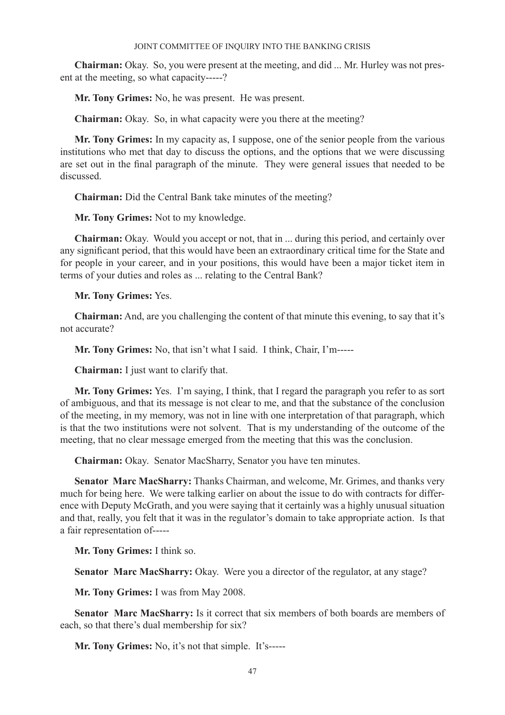**Chairman:** Okay. So, you were present at the meeting, and did ... Mr. Hurley was not present at the meeting, so what capacity-----?

**Mr. Tony Grimes:** No, he was present. He was present.

**Chairman:** Okay. So, in what capacity were you there at the meeting?

**Mr. Tony Grimes:** In my capacity as, I suppose, one of the senior people from the various institutions who met that day to discuss the options, and the options that we were discussing are set out in the final paragraph of the minute. They were general issues that needed to be discussed.

**Chairman:** Did the Central Bank take minutes of the meeting?

**Mr. Tony Grimes:** Not to my knowledge.

**Chairman:** Okay. Would you accept or not, that in ... during this period, and certainly over any significant period, that this would have been an extraordinary critical time for the State and for people in your career, and in your positions, this would have been a major ticket item in terms of your duties and roles as ... relating to the Central Bank?

**Mr. Tony Grimes:** Yes.

**Chairman:** And, are you challenging the content of that minute this evening, to say that it's not accurate?

**Mr. Tony Grimes:** No, that isn't what I said. I think, Chair, I'm-----

**Chairman:** I just want to clarify that.

**Mr. Tony Grimes:** Yes. I'm saying, I think, that I regard the paragraph you refer to as sort of ambiguous, and that its message is not clear to me, and that the substance of the conclusion of the meeting, in my memory, was not in line with one interpretation of that paragraph, which is that the two institutions were not solvent. That is my understanding of the outcome of the meeting, that no clear message emerged from the meeting that this was the conclusion.

**Chairman:** Okay. Senator MacSharry, Senator you have ten minutes.

**Senator Marc MacSharry:** Thanks Chairman, and welcome, Mr. Grimes, and thanks very much for being here. We were talking earlier on about the issue to do with contracts for difference with Deputy McGrath, and you were saying that it certainly was a highly unusual situation and that, really, you felt that it was in the regulator's domain to take appropriate action. Is that a fair representation of-----

**Mr. Tony Grimes:** I think so.

**Senator Marc MacSharry:** Okay. Were you a director of the regulator, at any stage?

**Mr. Tony Grimes:** I was from May 2008.

**Senator Marc MacSharry:** Is it correct that six members of both boards are members of each, so that there's dual membership for six?

**Mr. Tony Grimes:** No, it's not that simple. It's-----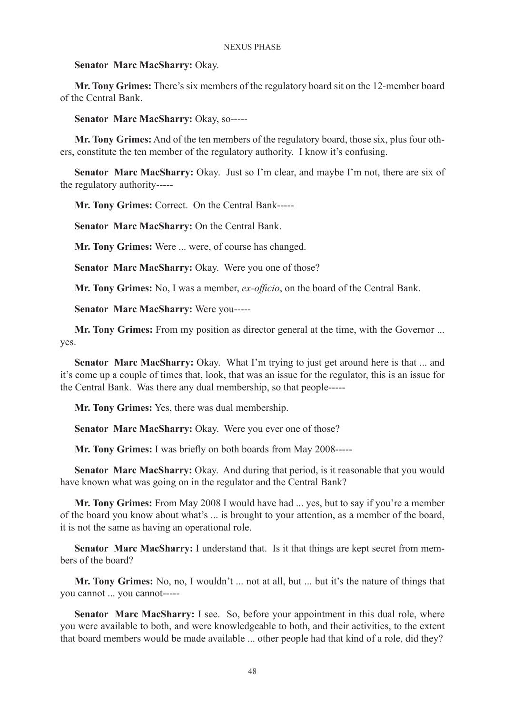# **Senator Marc MacSharry:** Okay.

**Mr. Tony Grimes:** There's six members of the regulatory board sit on the 12-member board of the Central Bank.

**Senator Marc MacSharry:** Okay, so-----

**Mr. Tony Grimes:** And of the ten members of the regulatory board, those six, plus four others, constitute the ten member of the regulatory authority. I know it's confusing.

**Senator Marc MacSharry:** Okay. Just so I'm clear, and maybe I'm not, there are six of the regulatory authority-----

**Mr. Tony Grimes:** Correct. On the Central Bank-----

**Senator Marc MacSharry:** On the Central Bank.

**Mr. Tony Grimes:** Were ... were, of course has changed.

**Senator Marc MacSharry:** Okay. Were you one of those?

**Mr. Tony Grimes:** No, I was a member, *ex-officio*, on the board of the Central Bank.

**Senator Marc MacSharry:** Were you-----

**Mr. Tony Grimes:** From my position as director general at the time, with the Governor ... yes.

**Senator Marc MacSharry:** Okay. What I'm trying to just get around here is that ... and it's come up a couple of times that, look, that was an issue for the regulator, this is an issue for the Central Bank. Was there any dual membership, so that people-----

**Mr. Tony Grimes:** Yes, there was dual membership.

**Senator Marc MacSharry:** Okay. Were you ever one of those?

**Mr. Tony Grimes:** I was briefly on both boards from May 2008-----

**Senator Marc MacSharry:** Okay. And during that period, is it reasonable that you would have known what was going on in the regulator and the Central Bank?

**Mr. Tony Grimes:** From May 2008 I would have had ... yes, but to say if you're a member of the board you know about what's ... is brought to your attention, as a member of the board, it is not the same as having an operational role.

**Senator Marc MacSharry:** I understand that. Is it that things are kept secret from members of the board?

**Mr. Tony Grimes:** No, no, I wouldn't ... not at all, but ... but it's the nature of things that you cannot ... you cannot-----

**Senator Marc MacSharry:** I see. So, before your appointment in this dual role, where you were available to both, and were knowledgeable to both, and their activities, to the extent that board members would be made available ... other people had that kind of a role, did they?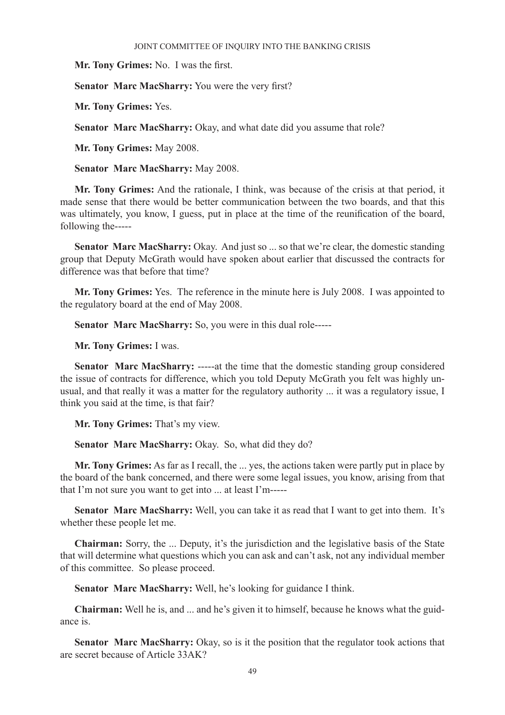**Mr. Tony Grimes:** No. I was the first.

**Senator Marc MacSharry:** You were the very first?

**Mr. Tony Grimes:** Yes.

**Senator Marc MacSharry:** Okay, and what date did you assume that role?

**Mr. Tony Grimes:** May 2008.

**Senator Marc MacSharry:** May 2008.

**Mr. Tony Grimes:** And the rationale, I think, was because of the crisis at that period, it made sense that there would be better communication between the two boards, and that this was ultimately, you know, I guess, put in place at the time of the reunification of the board, following the-----

**Senator Marc MacSharry:** Okay. And just so ... so that we're clear, the domestic standing group that Deputy McGrath would have spoken about earlier that discussed the contracts for difference was that before that time?

**Mr. Tony Grimes:** Yes. The reference in the minute here is July 2008. I was appointed to the regulatory board at the end of May 2008.

**Senator Marc MacSharry:** So, you were in this dual role-----

**Mr. Tony Grimes:** I was.

**Senator Marc MacSharry:** -----at the time that the domestic standing group considered the issue of contracts for difference, which you told Deputy McGrath you felt was highly unusual, and that really it was a matter for the regulatory authority ... it was a regulatory issue, I think you said at the time, is that fair?

**Mr. Tony Grimes:** That's my view.

**Senator Marc MacSharry:** Okay. So, what did they do?

**Mr. Tony Grimes:** As far as I recall, the ... yes, the actions taken were partly put in place by the board of the bank concerned, and there were some legal issues, you know, arising from that that I'm not sure you want to get into ... at least I'm-----

**Senator Marc MacSharry:** Well, you can take it as read that I want to get into them. It's whether these people let me.

**Chairman:** Sorry, the ... Deputy, it's the jurisdiction and the legislative basis of the State that will determine what questions which you can ask and can't ask, not any individual member of this committee. So please proceed.

**Senator Marc MacSharry:** Well, he's looking for guidance I think.

**Chairman:** Well he is, and ... and he's given it to himself, because he knows what the guidance is.

**Senator Marc MacSharry:** Okay, so is it the position that the regulator took actions that are secret because of Article 33AK?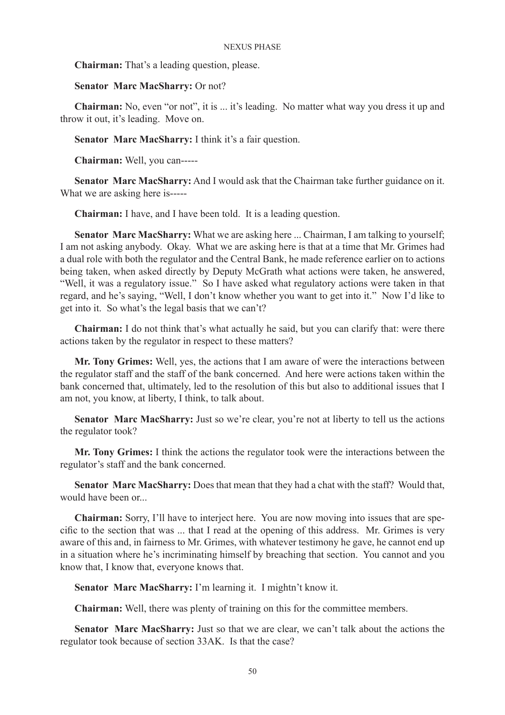**Chairman:** That's a leading question, please.

# **Senator Marc MacSharry:** Or not?

**Chairman:** No, even "or not", it is ... it's leading. No matter what way you dress it up and throw it out, it's leading. Move on.

**Senator Marc MacSharry:** I think it's a fair question.

**Chairman:** Well, you can-----

**Senator Marc MacSharry:** And I would ask that the Chairman take further guidance on it. What we are asking here is-----

**Chairman:** I have, and I have been told. It is a leading question.

**Senator Marc MacSharry:** What we are asking here ... Chairman, I am talking to yourself; I am not asking anybody. Okay. What we are asking here is that at a time that Mr. Grimes had a dual role with both the regulator and the Central Bank, he made reference earlier on to actions being taken, when asked directly by Deputy McGrath what actions were taken, he answered, "Well, it was a regulatory issue." So I have asked what regulatory actions were taken in that regard, and he's saying, "Well, I don't know whether you want to get into it." Now I'd like to get into it. So what's the legal basis that we can't?

**Chairman:** I do not think that's what actually he said, but you can clarify that: were there actions taken by the regulator in respect to these matters?

**Mr. Tony Grimes:** Well, yes, the actions that I am aware of were the interactions between the regulator staff and the staff of the bank concerned. And here were actions taken within the bank concerned that, ultimately, led to the resolution of this but also to additional issues that I am not, you know, at liberty, I think, to talk about.

**Senator Marc MacSharry:** Just so we're clear, you're not at liberty to tell us the actions the regulator took?

**Mr. Tony Grimes:** I think the actions the regulator took were the interactions between the regulator's staff and the bank concerned.

**Senator Marc MacSharry:** Does that mean that they had a chat with the staff? Would that, would have been or...

**Chairman:** Sorry, I'll have to interject here. You are now moving into issues that are specific to the section that was ... that I read at the opening of this address. Mr. Grimes is very aware of this and, in fairness to Mr. Grimes, with whatever testimony he gave, he cannot end up in a situation where he's incriminating himself by breaching that section. You cannot and you know that, I know that, everyone knows that.

**Senator Marc MacSharry:** I'm learning it. I mightn't know it.

**Chairman:** Well, there was plenty of training on this for the committee members.

**Senator Marc MacSharry:** Just so that we are clear, we can't talk about the actions the regulator took because of section 33AK. Is that the case?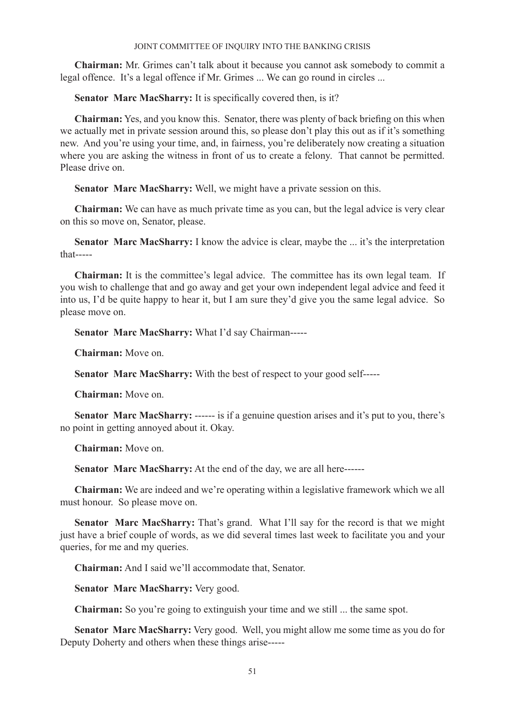**Chairman:** Mr. Grimes can't talk about it because you cannot ask somebody to commit a legal offence. It's a legal offence if Mr. Grimes ... We can go round in circles ...

**Senator Marc MacSharry:** It is specifically covered then, is it?

**Chairman:** Yes, and you know this. Senator, there was plenty of back briefing on this when we actually met in private session around this, so please don't play this out as if it's something new. And you're using your time, and, in fairness, you're deliberately now creating a situation where you are asking the witness in front of us to create a felony. That cannot be permitted. Please drive on.

**Senator Marc MacSharry:** Well, we might have a private session on this.

**Chairman:** We can have as much private time as you can, but the legal advice is very clear on this so move on, Senator, please.

Senator Marc MacSharry: I know the advice is clear, maybe the ... it's the interpretation that-----

**Chairman:** It is the committee's legal advice. The committee has its own legal team. If you wish to challenge that and go away and get your own independent legal advice and feed it into us, I'd be quite happy to hear it, but I am sure they'd give you the same legal advice. So please move on.

**Senator Marc MacSharry:** What I'd say Chairman-----

**Chairman:** Move on.

**Senator Marc MacSharry:** With the best of respect to your good self-----

**Chairman:** Move on.

**Senator Marc MacSharry:** ------ is if a genuine question arises and it's put to you, there's no point in getting annoyed about it. Okay.

**Chairman:** Move on.

**Senator Marc MacSharry:** At the end of the day, we are all here------

**Chairman:** We are indeed and we're operating within a legislative framework which we all must honour. So please move on.

**Senator Marc MacSharry:** That's grand. What I'll say for the record is that we might just have a brief couple of words, as we did several times last week to facilitate you and your queries, for me and my queries.

**Chairman:** And I said we'll accommodate that, Senator.

**Senator Marc MacSharry:** Very good.

**Chairman:** So you're going to extinguish your time and we still ... the same spot.

**Senator Marc MacSharry:** Very good. Well, you might allow me some time as you do for Deputy Doherty and others when these things arise-----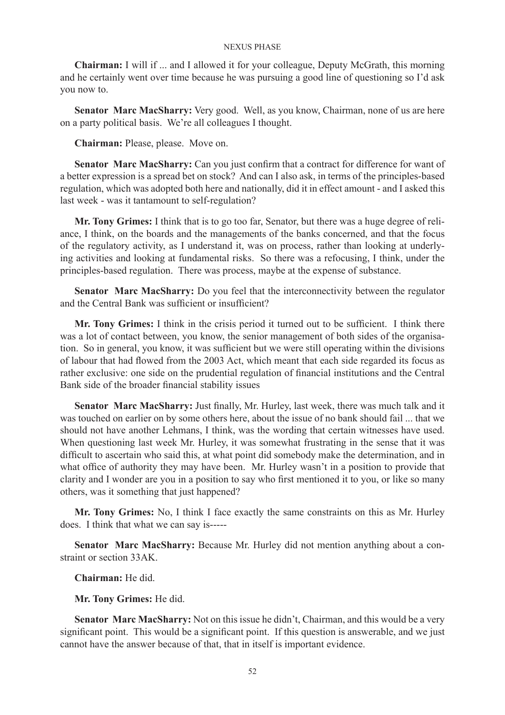**Chairman:** I will if ... and I allowed it for your colleague, Deputy McGrath, this morning and he certainly went over time because he was pursuing a good line of questioning so I'd ask you now to.

**Senator Marc MacSharry:** Very good. Well, as you know, Chairman, none of us are here on a party political basis. We're all colleagues I thought.

**Chairman:** Please, please. Move on.

Senator Marc MacSharry: Can you just confirm that a contract for difference for want of a better expression is a spread bet on stock? And can I also ask, in terms of the principles-based regulation, which was adopted both here and nationally, did it in effect amount - and I asked this last week - was it tantamount to self-regulation?

**Mr. Tony Grimes:** I think that is to go too far, Senator, but there was a huge degree of reliance, I think, on the boards and the managements of the banks concerned, and that the focus of the regulatory activity, as I understand it, was on process, rather than looking at underlying activities and looking at fundamental risks. So there was a refocusing, I think, under the principles-based regulation. There was process, maybe at the expense of substance.

**Senator Marc MacSharry:** Do you feel that the interconnectivity between the regulator and the Central Bank was sufficient or insufficient?

**Mr. Tony Grimes:** I think in the crisis period it turned out to be sufficient. I think there was a lot of contact between, you know, the senior management of both sides of the organisation. So in general, you know, it was sufficient but we were still operating within the divisions of labour that had flowed from the 2003 Act, which meant that each side regarded its focus as rather exclusive: one side on the prudential regulation of financial institutions and the Central Bank side of the broader financial stability issues

**Senator Marc MacSharry:** Just finally, Mr. Hurley, last week, there was much talk and it was touched on earlier on by some others here, about the issue of no bank should fail ... that we should not have another Lehmans, I think, was the wording that certain witnesses have used. When questioning last week Mr. Hurley, it was somewhat frustrating in the sense that it was difficult to ascertain who said this, at what point did somebody make the determination, and in what office of authority they may have been. Mr. Hurley wasn't in a position to provide that clarity and I wonder are you in a position to say who first mentioned it to you, or like so many others, was it something that just happened?

**Mr. Tony Grimes:** No, I think I face exactly the same constraints on this as Mr. Hurley does. I think that what we can say is-----

**Senator Marc MacSharry:** Because Mr. Hurley did not mention anything about a constraint or section 33AK.

**Chairman:** He did.

**Mr. Tony Grimes:** He did.

**Senator Marc MacSharry:** Not on this issue he didn't, Chairman, and this would be a very significant point. This would be a significant point. If this question is answerable, and we just cannot have the answer because of that, that in itself is important evidence.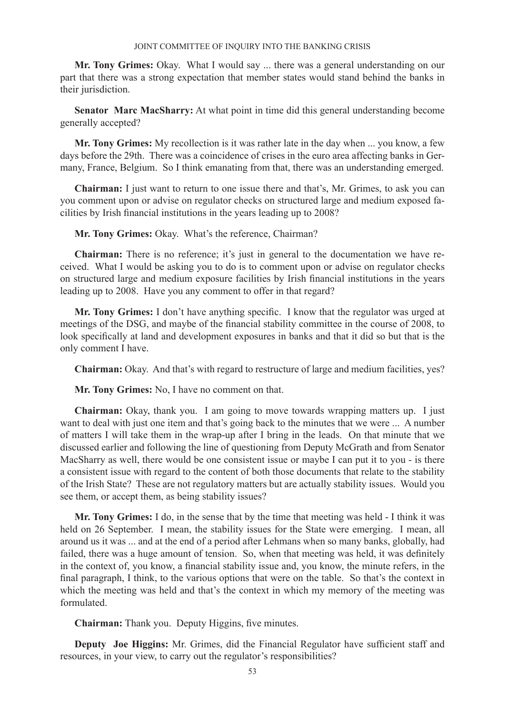**Mr. Tony Grimes:** Okay. What I would say ... there was a general understanding on our part that there was a strong expectation that member states would stand behind the banks in their jurisdiction.

**Senator Marc MacSharry:** At what point in time did this general understanding become generally accepted?

**Mr. Tony Grimes:** My recollection is it was rather late in the day when ... you know, a few days before the 29th. There was a coincidence of crises in the euro area affecting banks in Germany, France, Belgium. So I think emanating from that, there was an understanding emerged.

**Chairman:** I just want to return to one issue there and that's, Mr. Grimes, to ask you can you comment upon or advise on regulator checks on structured large and medium exposed facilities by Irish financial institutions in the years leading up to 2008?

**Mr. Tony Grimes:** Okay. What's the reference, Chairman?

**Chairman:** There is no reference; it's just in general to the documentation we have received. What I would be asking you to do is to comment upon or advise on regulator checks on structured large and medium exposure facilities by Irish financial institutions in the years leading up to 2008. Have you any comment to offer in that regard?

**Mr. Tony Grimes:** I don't have anything specific. I know that the regulator was urged at meetings of the DSG, and maybe of the financial stability committee in the course of 2008, to look specifically at land and development exposures in banks and that it did so but that is the only comment I have.

**Chairman:** Okay. And that's with regard to restructure of large and medium facilities, yes?

**Mr. Tony Grimes:** No, I have no comment on that.

**Chairman:** Okay, thank you. I am going to move towards wrapping matters up. I just want to deal with just one item and that's going back to the minutes that we were ... A number of matters I will take them in the wrap-up after I bring in the leads. On that minute that we discussed earlier and following the line of questioning from Deputy McGrath and from Senator MacSharry as well, there would be one consistent issue or maybe I can put it to you - is there a consistent issue with regard to the content of both those documents that relate to the stability of the Irish State? These are not regulatory matters but are actually stability issues. Would you see them, or accept them, as being stability issues?

**Mr. Tony Grimes:** I do, in the sense that by the time that meeting was held - I think it was held on 26 September. I mean, the stability issues for the State were emerging. I mean, all around us it was ... and at the end of a period after Lehmans when so many banks, globally, had failed, there was a huge amount of tension. So, when that meeting was held, it was definitely in the context of, you know, a financial stability issue and, you know, the minute refers, in the final paragraph, I think, to the various options that were on the table. So that's the context in which the meeting was held and that's the context in which my memory of the meeting was formulated.

**Chairman:** Thank you. Deputy Higgins, five minutes.

**Deputy Joe Higgins:** Mr. Grimes, did the Financial Regulator have sufficient staff and resources, in your view, to carry out the regulator's responsibilities?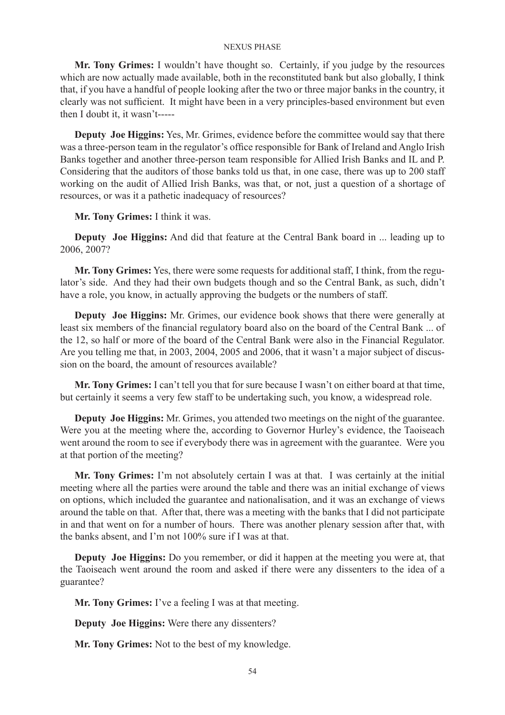**Mr. Tony Grimes:** I wouldn't have thought so. Certainly, if you judge by the resources which are now actually made available, both in the reconstituted bank but also globally, I think that, if you have a handful of people looking after the two or three major banks in the country, it clearly was not sufficient. It might have been in a very principles-based environment but even then I doubt it, it wasn't-----

**Deputy Joe Higgins:** Yes, Mr. Grimes, evidence before the committee would say that there was a three-person team in the regulator's office responsible for Bank of Ireland and Anglo Irish Banks together and another three-person team responsible for Allied Irish Banks and IL and P. Considering that the auditors of those banks told us that, in one case, there was up to 200 staff working on the audit of Allied Irish Banks, was that, or not, just a question of a shortage of resources, or was it a pathetic inadequacy of resources?

**Mr. Tony Grimes:** I think it was.

**Deputy Joe Higgins:** And did that feature at the Central Bank board in ... leading up to 2006, 2007?

**Mr. Tony Grimes:** Yes, there were some requests for additional staff, I think, from the regulator's side. And they had their own budgets though and so the Central Bank, as such, didn't have a role, you know, in actually approving the budgets or the numbers of staff.

**Deputy Joe Higgins:** Mr. Grimes, our evidence book shows that there were generally at least six members of the financial regulatory board also on the board of the Central Bank ... of the 12, so half or more of the board of the Central Bank were also in the Financial Regulator. Are you telling me that, in 2003, 2004, 2005 and 2006, that it wasn't a major subject of discussion on the board, the amount of resources available?

**Mr. Tony Grimes:** I can't tell you that for sure because I wasn't on either board at that time, but certainly it seems a very few staff to be undertaking such, you know, a widespread role.

**Deputy Joe Higgins:** Mr. Grimes, you attended two meetings on the night of the guarantee. Were you at the meeting where the, according to Governor Hurley's evidence, the Taoiseach went around the room to see if everybody there was in agreement with the guarantee. Were you at that portion of the meeting?

**Mr. Tony Grimes:** I'm not absolutely certain I was at that. I was certainly at the initial meeting where all the parties were around the table and there was an initial exchange of views on options, which included the guarantee and nationalisation, and it was an exchange of views around the table on that. After that, there was a meeting with the banks that I did not participate in and that went on for a number of hours. There was another plenary session after that, with the banks absent, and I'm not 100% sure if I was at that.

**Deputy Joe Higgins:** Do you remember, or did it happen at the meeting you were at, that the Taoiseach went around the room and asked if there were any dissenters to the idea of a guarantee?

**Mr. Tony Grimes:** I've a feeling I was at that meeting.

**Deputy Joe Higgins:** Were there any dissenters?

**Mr. Tony Grimes:** Not to the best of my knowledge.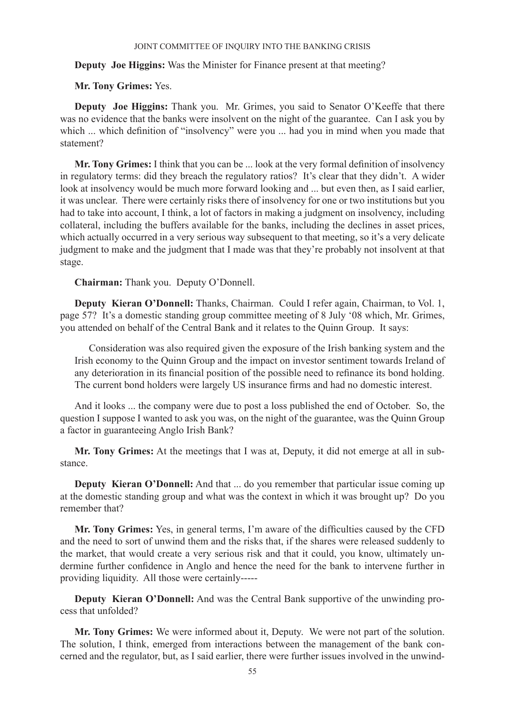# **Deputy Joe Higgins:** Was the Minister for Finance present at that meeting?

# **Mr. Tony Grimes:** Yes.

**Deputy Joe Higgins:** Thank you. Mr. Grimes, you said to Senator O'Keeffe that there was no evidence that the banks were insolvent on the night of the guarantee. Can I ask you by which ... which definition of "insolvency" were you ... had you in mind when you made that statement?

**Mr. Tony Grimes:** I think that you can be ... look at the very formal definition of insolvency in regulatory terms: did they breach the regulatory ratios? It's clear that they didn't. A wider look at insolvency would be much more forward looking and ... but even then, as I said earlier, it was unclear. There were certainly risks there of insolvency for one or two institutions but you had to take into account, I think, a lot of factors in making a judgment on insolvency, including collateral, including the buffers available for the banks, including the declines in asset prices, which actually occurred in a very serious way subsequent to that meeting, so it's a very delicate judgment to make and the judgment that I made was that they're probably not insolvent at that stage.

**Chairman:** Thank you. Deputy O'Donnell.

**Deputy Kieran O'Donnell:** Thanks, Chairman. Could I refer again, Chairman, to Vol. 1, page 57? It's a domestic standing group committee meeting of 8 July '08 which, Mr. Grimes, you attended on behalf of the Central Bank and it relates to the Quinn Group. It says:

Consideration was also required given the exposure of the Irish banking system and the Irish economy to the Quinn Group and the impact on investor sentiment towards Ireland of any deterioration in its financial position of the possible need to refinance its bond holding. The current bond holders were largely US insurance firms and had no domestic interest.

And it looks ... the company were due to post a loss published the end of October. So, the question I suppose I wanted to ask you was, on the night of the guarantee, was the Quinn Group a factor in guaranteeing Anglo Irish Bank?

**Mr. Tony Grimes:** At the meetings that I was at, Deputy, it did not emerge at all in substance.

**Deputy Kieran O'Donnell:** And that ... do you remember that particular issue coming up at the domestic standing group and what was the context in which it was brought up? Do you remember that?

**Mr. Tony Grimes:** Yes, in general terms, I'm aware of the difficulties caused by the CFD and the need to sort of unwind them and the risks that, if the shares were released suddenly to the market, that would create a very serious risk and that it could, you know, ultimately undermine further confidence in Anglo and hence the need for the bank to intervene further in providing liquidity. All those were certainly-----

**Deputy Kieran O'Donnell:** And was the Central Bank supportive of the unwinding process that unfolded?

**Mr. Tony Grimes:** We were informed about it, Deputy. We were not part of the solution. The solution, I think, emerged from interactions between the management of the bank concerned and the regulator, but, as I said earlier, there were further issues involved in the unwind-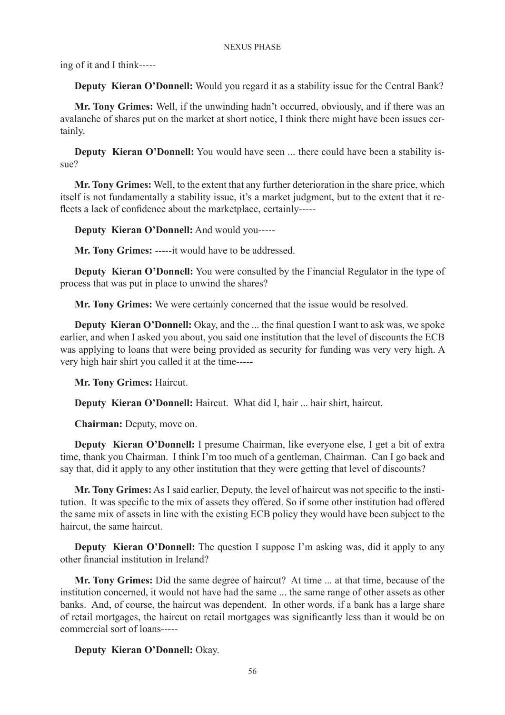ing of it and I think-----

**Deputy Kieran O'Donnell:** Would you regard it as a stability issue for the Central Bank?

**Mr. Tony Grimes:** Well, if the unwinding hadn't occurred, obviously, and if there was an avalanche of shares put on the market at short notice, I think there might have been issues certainly.

**Deputy Kieran O'Donnell:** You would have seen ... there could have been a stability issue?

**Mr. Tony Grimes:** Well, to the extent that any further deterioration in the share price, which itself is not fundamentally a stability issue, it's a market judgment, but to the extent that it reflects a lack of confidence about the marketplace, certainly-----

**Deputy Kieran O'Donnell:** And would you-----

**Mr. Tony Grimes:** -----it would have to be addressed.

**Deputy Kieran O'Donnell:** You were consulted by the Financial Regulator in the type of process that was put in place to unwind the shares?

**Mr. Tony Grimes:** We were certainly concerned that the issue would be resolved.

**Deputy Kieran O'Donnell:** Okay, and the ... the final question I want to ask was, we spoke earlier, and when I asked you about, you said one institution that the level of discounts the ECB was applying to loans that were being provided as security for funding was very very high. A very high hair shirt you called it at the time-----

**Mr. Tony Grimes:** Haircut.

**Deputy Kieran O'Donnell:** Haircut. What did I, hair ... hair shirt, haircut.

**Chairman:** Deputy, move on.

**Deputy Kieran O'Donnell:** I presume Chairman, like everyone else, I get a bit of extra time, thank you Chairman. I think I'm too much of a gentleman, Chairman. Can I go back and say that, did it apply to any other institution that they were getting that level of discounts?

**Mr. Tony Grimes:** As I said earlier, Deputy, the level of haircut was not specific to the institution. It was specific to the mix of assets they offered. So if some other institution had offered the same mix of assets in line with the existing ECB policy they would have been subject to the haircut, the same haircut.

**Deputy Kieran O'Donnell:** The question I suppose I'm asking was, did it apply to any other financial institution in Ireland?

**Mr. Tony Grimes:** Did the same degree of haircut? At time ... at that time, because of the institution concerned, it would not have had the same ... the same range of other assets as other banks. And, of course, the haircut was dependent. In other words, if a bank has a large share of retail mortgages, the haircut on retail mortgages was significantly less than it would be on commercial sort of loans-----

# **Deputy Kieran O'Donnell:** Okay.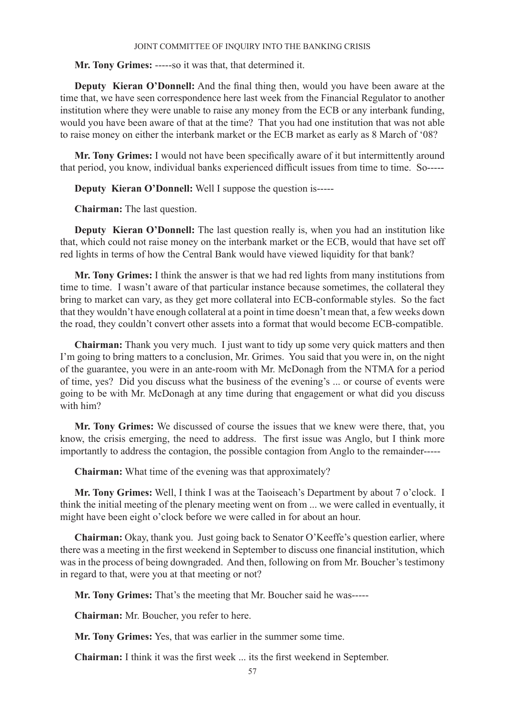**Mr. Tony Grimes:** -----so it was that, that determined it.

**Deputy Kieran O'Donnell:** And the final thing then, would you have been aware at the time that, we have seen correspondence here last week from the Financial Regulator to another institution where they were unable to raise any money from the ECB or any interbank funding, would you have been aware of that at the time? That you had one institution that was not able to raise money on either the interbank market or the ECB market as early as 8 March of '08?

**Mr. Tony Grimes:** I would not have been specifically aware of it but intermittently around that period, you know, individual banks experienced difficult issues from time to time. So-----

**Deputy Kieran O'Donnell:** Well I suppose the question is-----

**Chairman:** The last question.

**Deputy Kieran O'Donnell:** The last question really is, when you had an institution like that, which could not raise money on the interbank market or the ECB, would that have set off red lights in terms of how the Central Bank would have viewed liquidity for that bank?

**Mr. Tony Grimes:** I think the answer is that we had red lights from many institutions from time to time. I wasn't aware of that particular instance because sometimes, the collateral they bring to market can vary, as they get more collateral into ECB-conformable styles. So the fact that they wouldn't have enough collateral at a point in time doesn't mean that, a few weeks down the road, they couldn't convert other assets into a format that would become ECB-compatible.

**Chairman:** Thank you very much. I just want to tidy up some very quick matters and then I'm going to bring matters to a conclusion, Mr. Grimes. You said that you were in, on the night of the guarantee, you were in an ante-room with Mr. McDonagh from the NTMA for a period of time, yes? Did you discuss what the business of the evening's ... or course of events were going to be with Mr. McDonagh at any time during that engagement or what did you discuss with him?

**Mr. Tony Grimes:** We discussed of course the issues that we knew were there, that, you know, the crisis emerging, the need to address. The first issue was Anglo, but I think more importantly to address the contagion, the possible contagion from Anglo to the remainder-----

**Chairman:** What time of the evening was that approximately?

**Mr. Tony Grimes:** Well, I think I was at the Taoiseach's Department by about 7 o'clock. I think the initial meeting of the plenary meeting went on from ... we were called in eventually, it might have been eight o'clock before we were called in for about an hour.

**Chairman:** Okay, thank you. Just going back to Senator O'Keeffe's question earlier, where there was a meeting in the first weekend in September to discuss one financial institution, which was in the process of being downgraded. And then, following on from Mr. Boucher's testimony in regard to that, were you at that meeting or not?

**Mr. Tony Grimes:** That's the meeting that Mr. Boucher said he was-----

**Chairman:** Mr. Boucher, you refer to here.

**Mr. Tony Grimes:** Yes, that was earlier in the summer some time.

**Chairman:** I think it was the first week ... its the first weekend in September.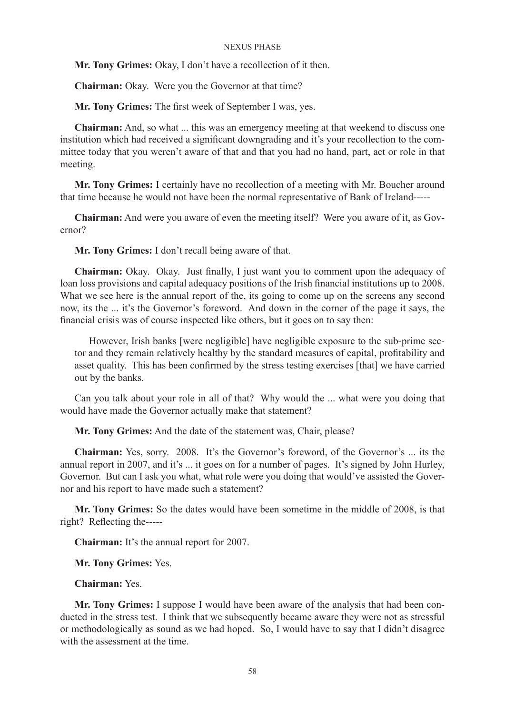**Mr. Tony Grimes:** Okay, I don't have a recollection of it then.

**Chairman:** Okay. Were you the Governor at that time?

**Mr. Tony Grimes:** The first week of September I was, yes.

**Chairman:** And, so what ... this was an emergency meeting at that weekend to discuss one institution which had received a significant downgrading and it's your recollection to the committee today that you weren't aware of that and that you had no hand, part, act or role in that meeting.

**Mr. Tony Grimes:** I certainly have no recollection of a meeting with Mr. Boucher around that time because he would not have been the normal representative of Bank of Ireland-----

**Chairman:** And were you aware of even the meeting itself? Were you aware of it, as Governor?

**Mr. Tony Grimes:** I don't recall being aware of that.

**Chairman:** Okay. Okay. Just finally, I just want you to comment upon the adequacy of loan loss provisions and capital adequacy positions of the Irish financial institutions up to 2008. What we see here is the annual report of the, its going to come up on the screens any second now, its the ... it's the Governor's foreword. And down in the corner of the page it says, the financial crisis was of course inspected like others, but it goes on to say then:

However, Irish banks [were negligible] have negligible exposure to the sub-prime sector and they remain relatively healthy by the standard measures of capital, profitability and asset quality. This has been confirmed by the stress testing exercises [that] we have carried out by the banks.

Can you talk about your role in all of that? Why would the ... what were you doing that would have made the Governor actually make that statement?

**Mr. Tony Grimes:** And the date of the statement was, Chair, please?

**Chairman:** Yes, sorry. 2008. It's the Governor's foreword, of the Governor's ... its the annual report in 2007, and it's ... it goes on for a number of pages. It's signed by John Hurley, Governor. But can I ask you what, what role were you doing that would've assisted the Governor and his report to have made such a statement?

**Mr. Tony Grimes:** So the dates would have been sometime in the middle of 2008, is that right? Reflecting the-----

**Chairman:** It's the annual report for 2007.

**Mr. Tony Grimes:** Yes.

**Chairman:** Yes.

**Mr. Tony Grimes:** I suppose I would have been aware of the analysis that had been conducted in the stress test. I think that we subsequently became aware they were not as stressful or methodologically as sound as we had hoped. So, I would have to say that I didn't disagree with the assessment at the time.